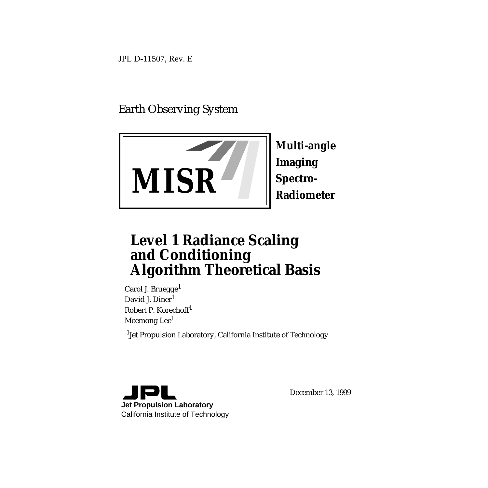JPL D-11507, Rev. E

Earth Observing System



**Multi-angle Imaging Spectro-Radiometer**

# **Level 1 Radiance Scaling and Conditioning Algorithm Theoretical Basis**

Carol J. Bruegge<sup>1</sup> David J. Diner<sup>1</sup> Robert P. Korechoff1 Meemong Lee<sup>1</sup> <sup>1</sup>Jet Propulsion Laboratory, California Institute of Technology



December 13, 1999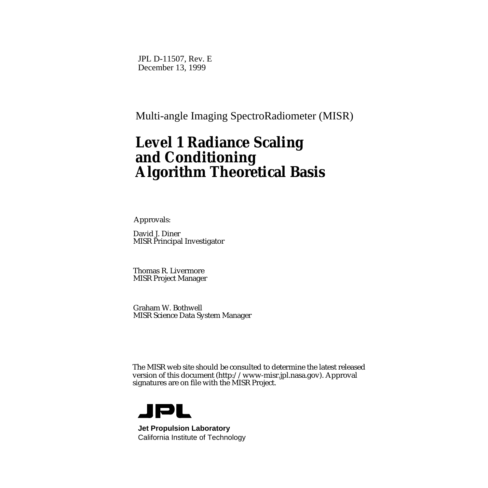JPL D-11507, Rev. E December 13, 1999

Multi-angle Imaging SpectroRadiometer (MISR)

# **Level 1 Radiance Scaling and Conditioning Algorithm Theoretical Basis**

Approvals:

David J. Diner MISR Principal Investigator

Thomas R. Livermore MISR Project Manager

Graham W. Bothwell MISR Science Data System Manager

The MISR web site should be consulted to determine the latest released version of this document (http://www-misr.jpl.nasa.gov). Approval signatures are on file with the MISR Project.



**Jet Propulsion Laboratory** California Institute of Technology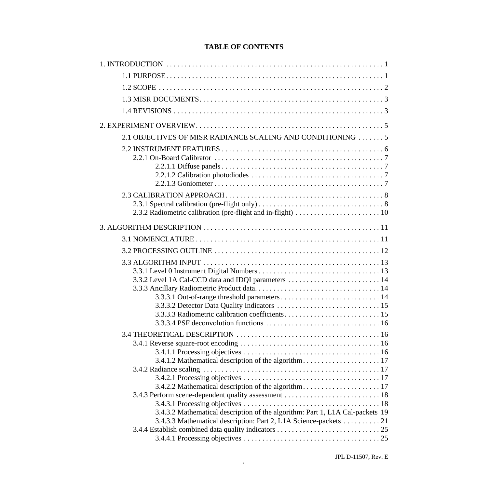| 2.1 OBJECTIVES OF MISR RADIANCE SCALING AND CONDITIONING 5                                                                                         |  |
|----------------------------------------------------------------------------------------------------------------------------------------------------|--|
|                                                                                                                                                    |  |
|                                                                                                                                                    |  |
|                                                                                                                                                    |  |
|                                                                                                                                                    |  |
|                                                                                                                                                    |  |
|                                                                                                                                                    |  |
| 3.4.3.2 Mathematical description of the algorithm: Part 1, L1A Cal-packets 19<br>3.4.3.3 Mathematical description: Part 2, L1A Science-packets  21 |  |
|                                                                                                                                                    |  |
|                                                                                                                                                    |  |

# **TABLE OF CONTENTS**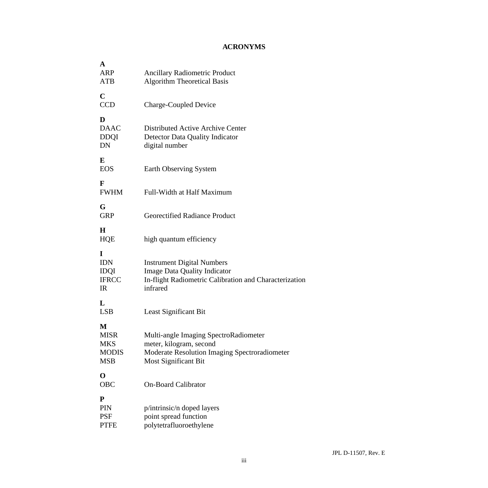# **ACRONYMS**

| A<br><b>ARP</b><br><b>ATB</b>                                | <b>Ancillary Radiometric Product</b><br><b>Algorithm Theoretical Basis</b>                                                                       |
|--------------------------------------------------------------|--------------------------------------------------------------------------------------------------------------------------------------------------|
| $\mathbf C$<br><b>CCD</b>                                    | <b>Charge-Coupled Device</b>                                                                                                                     |
| D<br><b>DAAC</b><br><b>DDQI</b><br>DN                        | Distributed Active Archive Center<br>Detector Data Quality Indicator<br>digital number                                                           |
| E<br><b>EOS</b>                                              | Earth Observing System                                                                                                                           |
| F<br><b>FWHM</b>                                             | Full-Width at Half Maximum                                                                                                                       |
| G<br><b>GRP</b>                                              | <b>Georectified Radiance Product</b>                                                                                                             |
| $\bf H$<br><b>HQE</b>                                        | high quantum efficiency                                                                                                                          |
| I<br><b>IDN</b><br><b>IDQI</b><br><b>IFRCC</b><br>IR         | <b>Instrument Digital Numbers</b><br><b>Image Data Quality Indicator</b><br>In-flight Radiometric Calibration and Characterization<br>infrared   |
| L<br><b>LSB</b>                                              | Least Significant Bit                                                                                                                            |
| М<br><b>MISR</b><br><b>MKS</b><br><b>MODIS</b><br><b>MSB</b> | Multi-angle Imaging SpectroRadiometer<br>meter, kilogram, second<br>Moderate Resolution Imaging Spectroradiometer<br><b>Most Significant Bit</b> |
| $\mathbf 0$<br><b>OBC</b>                                    | <b>On-Board Calibrator</b>                                                                                                                       |
| P<br><b>PIN</b><br><b>PSF</b><br><b>PTFE</b>                 | p/intrinsic/n doped layers<br>point spread function<br>polytetrafluoroethylene                                                                   |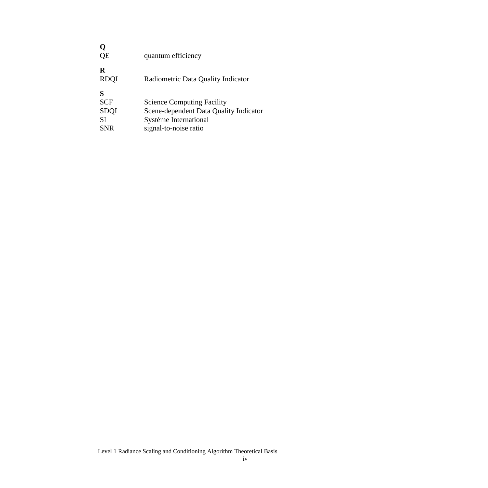| QE                                          | quantum efficiency                                                                                                            |
|---------------------------------------------|-------------------------------------------------------------------------------------------------------------------------------|
| R<br><b>RDOI</b>                            | Radiometric Data Quality Indicator                                                                                            |
| S<br><b>SCF</b><br>SDQI<br>SI<br><b>SNR</b> | <b>Science Computing Facility</b><br>Scene-dependent Data Quality Indicator<br>Système International<br>signal-to-noise ratio |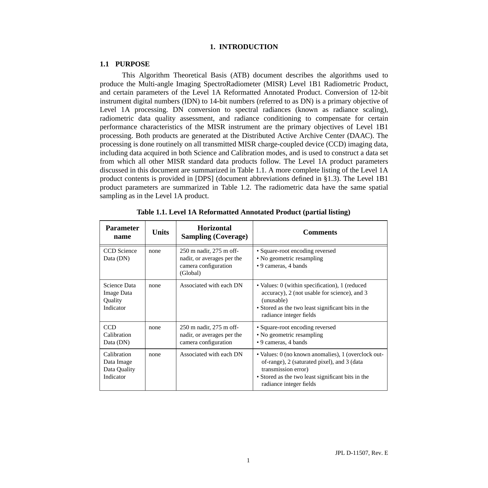# **1. INTRODUCTION**

## <span id="page-6-0"></span>**1.1 PURPOSE**

This Algorithm Theoretical Basis (ATB) document describes the algorithms used to produce the Multi-angle Imaging SpectroRadiometer (MISR) Level 1B1 Radiometric Product, and certain parameters of the Level 1A Reformatted Annotated Product. Conversion of 12-bit instrument digital numbers (IDN) to 14-bit numbers (referred to as DN) is a primary objective of Level 1A processing. DN conversion to spectral radiances (known as radiance scaling), radiometric data quality assessment, and radiance conditioning to compensate for certain performance characteristics of the MISR instrument are the primary objectives of Level 1B1 processing. Both products are generated at the Distributed Active Archive Center (DAAC). The processing is done routinely on all transmitted MISR charge-coupled device (CCD) imaging data, including data acquired in both Science and Calibration modes, and is used to construct a data set from which all other MISR standard data products follow. The Level 1A product parameters discussed in this document are summarized in Table 1.1. A more complete listing of the Level 1A product contents is provided in [DPS] (document abbreviations defined in [§1.3\)](#page-8-0). The Level 1B1 product parameters are summarized in Table [1.2](#page-7-0). The radiometric data have the same spatial sampling as in the Level 1A product.

| <b>Parameter</b><br>name                                  | <b>Units</b> | <b>Horizontal</b><br><b>Sampling (Coverage)</b>                                           | <b>Comments</b>                                                                                                                                                                                           |
|-----------------------------------------------------------|--------------|-------------------------------------------------------------------------------------------|-----------------------------------------------------------------------------------------------------------------------------------------------------------------------------------------------------------|
| <b>CCD</b> Science<br>Data (DN)                           | none         | 250 m nadir, 275 m off-<br>nadir, or averages per the<br>camera configuration<br>(Global) | • Square-root encoding reversed<br>• No geometric resampling<br>• 9 cameras, 4 bands                                                                                                                      |
| Science Data<br><b>Image Data</b><br>Quality<br>Indicator | none         | Associated with each DN                                                                   | • Values: 0 (within specification), 1 (reduced<br>accuracy), 2 (not usable for science), and 3<br>(unusable)<br>• Stored as the two least significant bits in the<br>radiance integer fields              |
| <b>CCD</b><br>Calibration<br>Data (DN)                    | none         | 250 m nadir, 275 m off-<br>nadir, or averages per the<br>camera configuration             | • Square-root encoding reversed<br>• No geometric resampling<br>• 9 cameras, 4 bands                                                                                                                      |
| Calibration<br>Data Image<br>Data Quality<br>Indicator    | none         | Associated with each DN                                                                   | • Values: 0 (no known anomalies), 1 (overclock out-<br>of-range), 2 (saturated pixel), and 3 (data<br>transmission error)<br>• Stored as the two least significant bits in the<br>radiance integer fields |

**Table 1.1. Level 1A Reformatted Annotated Product (partial listing)**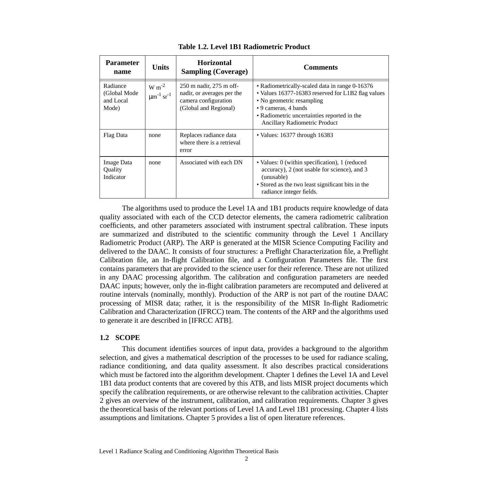<span id="page-7-0"></span>

| <b>Parameter</b><br>name                       | <b>Units</b>                                         | <b>Horizontal</b><br><b>Sampling (Coverage)</b>                                                        | <b>Comments</b>                                                                                                                                                                                                                           |
|------------------------------------------------|------------------------------------------------------|--------------------------------------------------------------------------------------------------------|-------------------------------------------------------------------------------------------------------------------------------------------------------------------------------------------------------------------------------------------|
| Radiance<br>(Global Mode<br>and Local<br>Mode) | $W m^{-2}$<br>$\mu$ m <sup>-1</sup> sr <sup>-1</sup> | 250 m nadir, 275 m off-<br>nadir, or averages per the<br>camera configuration<br>(Global and Regional) | • Radiometrically-scaled data in range 0-16376<br>• Values 16377-16383 reserved for L1B2 flag values<br>• No geometric resampling<br>• 9 cameras, 4 bands<br>• Radiometric uncertainties reported in the<br>Ancillary Radiometric Product |
| Flag Data                                      | none                                                 | Replaces radiance data<br>where there is a retrieval<br>error                                          | • Values: $16377$ through $16383$                                                                                                                                                                                                         |
| Image Data<br>Quality<br>Indicator             | none                                                 | Associated with each DN                                                                                | • Values: 0 (within specification), 1 (reduced<br>accuracy), 2 (not usable for science), and 3<br>(unusable)<br>• Stored as the two least significant bits in the<br>radiance integer fields.                                             |

**Table 1.2. Level 1B1 Radiometric Product**

The algorithms used to produce the Level 1A and 1B1 products require knowledge of data quality associated with each of the CCD detector elements, the camera radiometric calibration coefficients, and other parameters associated with instrument spectral calibration. These inputs are summarized and distributed to the scientific community through the Level 1 Ancillary Radiometric Product (ARP). The ARP is generated at the MISR Science Computing Facility and delivered to the DAAC. It consists of four structures: a Preflight Characterization file, a Preflight Calibration file, an In-flight Calibration file, and a Configuration Parameters file. The first contains parameters that are provided to the science user for their reference. These are not utilized in any DAAC processing algorithm. The calibration and configuration parameters are needed DAAC inputs; however, only the in-flight calibration parameters are recomputed and delivered at routine intervals (nominally, monthly). Production of the ARP is not part of the routine DAAC processing of MISR data; rather, it is the responsibility of the MISR In-flight Radiometric Calibration and Characterization (IFRCC) team. The contents of the ARP and the algorithms used to generate it are described in [IFRCC ATB].

# **1.2 SCOPE**

This document identifies sources of input data, provides a background to the algorithm selection, and gives a mathematical description of the processes to be used for radiance scaling, radiance conditioning, and data quality assessment. It also describes practical considerations which must be factored into the algorithm development. Chapter 1 defines the Level 1A and Level 1B1 data product contents that are covered by this ATB, and lists MISR project documents which specify the calibration requirements, or are otherwise relevant to the calibration activities. Chapter 2 gives an overview of the instrument, calibration, and calibration requirements. Chapter 3 gives the theoretical basis of the relevant portions of Level 1A and Level 1B1 processing. Chapter 4 lists assumptions and limitations. Chapter 5 provides a list of open literature references.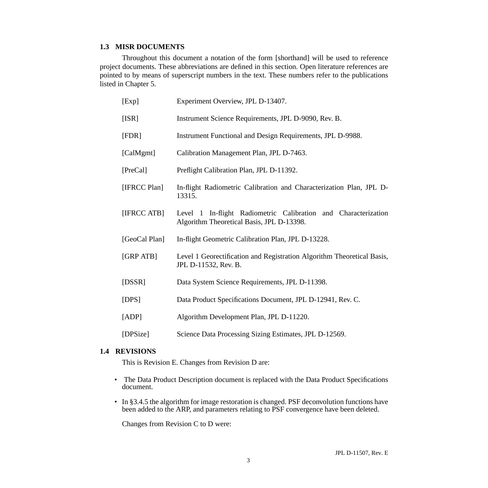# <span id="page-8-0"></span>**1.3 MISR DOCUMENTS**

Throughout this document a notation of the form [shorthand] will be used to reference project documents. These abbreviations are defined in this section. Open literature references are pointed to by means of superscript numbers in the text. These numbers refer to the publications listed in Chapter 5.

| [Exp]         | Experiment Overview, JPL D-13407.                                                                           |  |  |
|---------------|-------------------------------------------------------------------------------------------------------------|--|--|
| [ISR]         | Instrument Science Requirements, JPL D-9090, Rev. B.                                                        |  |  |
| [FDR]         | Instrument Functional and Design Requirements, JPL D-9988.                                                  |  |  |
| [CalMgmt]     | Calibration Management Plan, JPL D-7463.                                                                    |  |  |
| [PreCal]      | Preflight Calibration Plan, JPL D-11392.                                                                    |  |  |
| [IFRCC Plan]  | In-flight Radiometric Calibration and Characterization Plan, JPL D-<br>13315.                               |  |  |
| [IFRCC ATB]   | Level 1 In-flight Radiometric Calibration and Characterization<br>Algorithm Theoretical Basis, JPL D-13398. |  |  |
| [GeoCal Plan] | In-flight Geometric Calibration Plan, JPL D-13228.                                                          |  |  |
| [GRP ATB]     | Level 1 Georectification and Registration Algorithm Theoretical Basis,<br>JPL D-11532, Rev. B.              |  |  |
| [DSSR]        | Data System Science Requirements, JPL D-11398.                                                              |  |  |
| [DPS]         | Data Product Specifications Document, JPL D-12941, Rev. C.                                                  |  |  |
| [ADP]         | Algorithm Development Plan, JPL D-11220.                                                                    |  |  |
| [DPSize]      | Science Data Processing Sizing Estimates, JPL D-12569.                                                      |  |  |

### **1.4 REVISIONS**

This is Revision E. Changes from Revision D are:

- The Data Product Description document is replaced with the Data Product Specifications document.
- In [§3.4.5](#page-31-0) the algorithm for image restoration is changed. PSF deconvolution functions have been added to the ARP, and parameters relating to PSF convergence have been deleted.

Changes from Revision C to D were: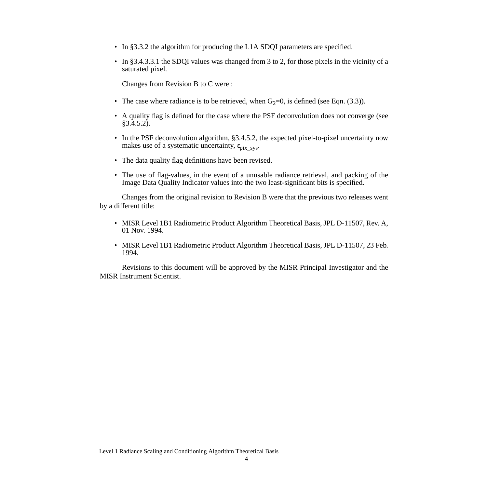- In [§3.3.2](#page-19-0) the algorithm for producing the L1A SDQI parameters are specified.
- In [§3.4.3.3.1](#page-27-0) the SDQI values was changed from 3 to 2, for those pixels in the vicinity of a saturated pixel.

Changes from Revision B to C were :

- The case where radiance is to be retrieved, when  $G_2=0$ , is defined (see Eq[n. \(3.3\)\).](#page-23-0)
- A quality flag is defined for the case where the PSF deconvolution does not converge (see  $§3.\overline{4}.5.2$ ).
- In the PSF deconvolution algorithm, [§3.4.5.2](#page-32-0), the expected pixel-to-pixel uncertainty now makes use of a systematic uncertainty,  $\varepsilon_{\text{pix}}$  sys.
- The data quality flag definitions have been revised.
- The use of flag-values, in the event of a unusable radiance retrieval, and packing of the Image Data Quality Indicator values into the two least-significant bits is specified.

Changes from the original revision to Revision B were that the previous two releases went by a different title:

- MISR Level 1B1 Radiometric Product Algorithm Theoretical Basis, JPL D-11507, Rev. A, 01 Nov. 1994.
- MISR Level 1B1 Radiometric Product Algorithm Theoretical Basis, JPL D-11507, 23 Feb. 1994.

Revisions to this document will be approved by the MISR Principal Investigator and the MISR Instrument Scientist.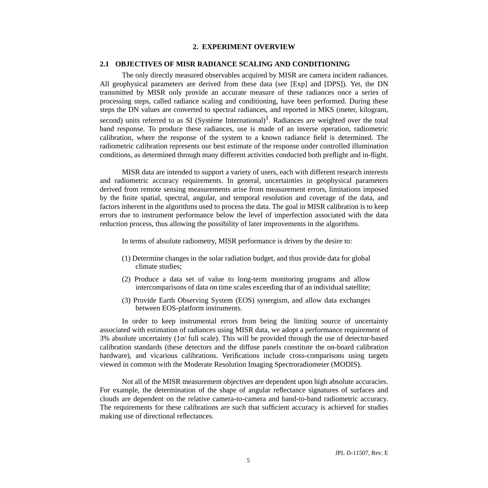# **2. EXPERIMENT OVERVIEW**

# <span id="page-10-0"></span>**2.1 OBJECTIVES OF MISR RADIANCE SCALING AND CONDITIONING**

The only directly measured observables acquired by MISR are camera incident radiances. All geophysical parameters are derived from these data (see [Exp] and [DPS]). Yet, the DN transmitted by MISR only provide an accurate measure of these radiances once a series of processing steps, called radiance scaling and conditioning, have been performed. During these steps the DN values are converted to spectral radiances, and reported in MKS (meter, kilogram, second) units referred to as SI (Système International)<sup>[1](#page-39-0)</sup>. Radiances are weighted over the total band response. To produce these radiances, use is made of an inverse operation, radiometric calibration, where the response of the system to a known radiance field is determined. The radiometric calibration represents our best estimate of the response under controlled illumination conditions, as determined through many different activities conducted both preflight and in-flight.

MISR data are intended to support a variety of users, each with different research interests and radiometric accuracy requirements. In general, uncertainties in geophysical parameters derived from remote sensing measurements arise from measurement errors, limitations imposed by the finite spatial, spectral, angular, and temporal resolution and coverage of the data, and factors inherent in the algorithms used to process the data. The goal in MISR calibration is to keep errors due to instrument performance below the level of imperfection associated with the data reduction process, thus allowing the possibility of later improvements in the algorithms.

In terms of absolute radiometry, MISR performance is driven by the desire to:

- (1) Determine changes in the solar radiation budget, and thus provide data for global climate studies;
- (2) Produce a data set of value to long-term monitoring programs and allow intercomparisons of data on time scales exceeding that of an individual satellite;
- (3) Provide Earth Observing System (EOS) synergism, and allow data exchanges between EOS-platform instruments.

In order to keep instrumental errors from being the limiting source of uncertainty associated with estimation of radiances using MISR data, we adopt a performance requirement of 3% absolute uncertainty  $(1\sigma)$  full scale). This will be provided through the use of detector-based calibration standards (these detectors and the diffuse panels constitute the on-board calibration hardware), and vicarious calibrations. Verifications include cross-comparisons using targets viewed in common with the Moderate Resolution Imaging Spectroradiometer (MODIS).

Not all of the MISR measurement objectives are dependent upon high absolute accuracies. For example, the determination of the shape of angular reflectance signatures of surfaces and clouds are dependent on the relative camera-to-camera and band-to-band radiometric accuracy. The requirements for these calibrations are such that sufficient accuracy is achieved for studies making use of directional reflectances.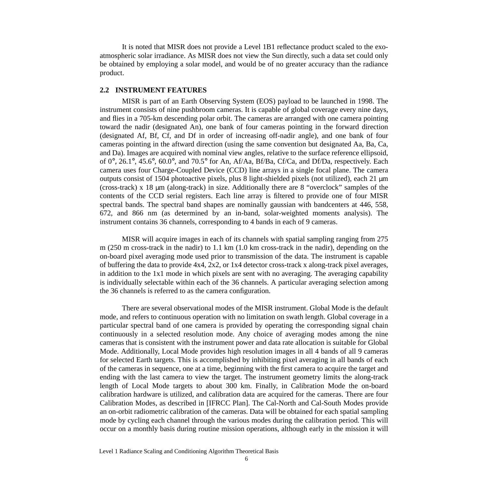<span id="page-11-0"></span>It is noted that MISR does not provide a Level 1B1 reflectance product scaled to the exoatmospheric solar irradiance. As MISR does not view the Sun directly, such a data set could only be obtained by employing a solar model, and would be of no greater accuracy than the radiance product.

# **2.2 INSTRUMENT FEATURES**

MISR is part of an Earth Observing System (EOS) payload to be launched in 1998. The instrument consists of nine pushbroom cameras. It is capable of global coverage every nine days, and flies in a 705-km descending polar orbit. The cameras are arranged with one camera pointing toward the nadir (designated An), one bank of four cameras pointing in the forward direction (designated Af, Bf, Cf, and Df in order of increasing off-nadir angle), and one bank of four cameras pointing in the aftward direction (using the same convention but designated Aa, Ba, Ca, and Da). Images are acquired with nominal view angles, relative to the surface reference ellipsoid, of 0°, 26.1°, 45.6°, 60.0°, and 70.5° for An, Af/Aa, Bf/Ba, Cf/Ca, and Df/Da, respectively. Each camera uses four Charge-Coupled Device (CCD) line arrays in a single focal plane. The camera outputs consist of 1504 photoactive pixels, plus 8 light-shielded pixels (not utilized), each 21 µm (cross-track) x 18 µm (along-track) in size. Additionally there are 8 "overclock" samples of the contents of the CCD serial registers. Each line array is filtered to provide one of four MISR spectral bands. The spectral band shapes are nominally gaussian with bandcenters at 446, 558, 672, and 866 nm (as determined by an in-band, solar-weighted moments analysis). The instrument contains 36 channels, corresponding to 4 bands in each of 9 cameras.

MISR will acquire images in each of its channels with spatial sampling ranging from 275 m (250 m cross-track in the nadir) to 1.1 km (1.0 km cross-track in the nadir), depending on the on-board pixel averaging mode used prior to transmission of the data. The instrument is capable of buffering the data to provide 4x4, 2x2, or 1x4 detector cross-track x along-track pixel averages, in addition to the 1x1 mode in which pixels are sent with no averaging. The averaging capability is individually selectable within each of the 36 channels. A particular averaging selection among the 36 channels is referred to as the camera configuration.

There are several observational modes of the MISR instrument. Global Mode is the default mode, and refers to continuous operation with no limitation on swath length. Global coverage in a particular spectral band of one camera is provided by operating the corresponding signal chain continuously in a selected resolution mode. Any choice of averaging modes among the nine cameras that is consistent with the instrument power and data rate allocation is suitable for Global Mode. Additionally, Local Mode provides high resolution images in all 4 bands of all 9 cameras for selected Earth targets. This is accomplished by inhibiting pixel averaging in all bands of each of the cameras in sequence, one at a time, beginning with the first camera to acquire the target and ending with the last camera to view the target. The instrument geometry limits the along-track length of Local Mode targets to about 300 km. Finally, in Calibration Mode the on-board calibration hardware is utilized, and calibration data are acquired for the cameras. There are four Calibration Modes, as described in [IFRCC Plan]. The Cal-North and Cal-South Modes provide an on-orbit radiometric calibration of the cameras. Data will be obtained for each spatial sampling mode by cycling each channel through the various modes during the calibration period. This will occur on a monthly basis during routine mission operations, although early in the mission it will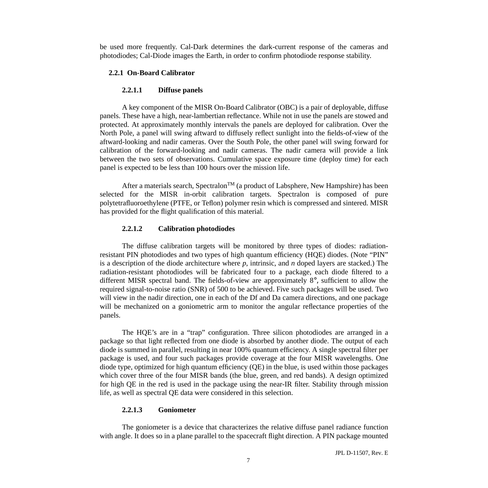<span id="page-12-0"></span>be used more frequently. Cal-Dark determines the dark-current response of the cameras and photodiodes; Cal-Diode images the Earth, in order to confirm photodiode response stability.

# **2.2.1 On-Board Calibrator**

# **2.2.1.1 Diffuse panels**

A key component of the MISR On-Board Calibrator (OBC) is a pair of deployable, diffuse panels. These have a high, near-lambertian reflectance. While not in use the panels are stowed and protected. At approximately monthly intervals the panels are deployed for calibration. Over the North Pole, a panel will swing aftward to diffusely reflect sunlight into the fields-of-view of the aftward-looking and nadir cameras. Over the South Pole, the other panel will swing forward for calibration of the forward-looking and nadir cameras. The nadir camera will provide a link between the two sets of observations. Cumulative space exposure time (deploy time) for each panel is expected to be less than 100 hours over the mission life.

After a materials search, Spectralon<sup>TM</sup> (a product of Labsphere, New Hampshire) has been selected for the MISR in-orbit calibration targets. Spectralon is composed of pure polytetrafluoroethylene (PTFE, or Teflon) polymer resin which is compressed and sintered. MISR has provided for the flight qualification of this material.

# **2.2.1.2 Calibration photodiodes**

The diffuse calibration targets will be monitored by three types of diodes: radiationresistant PIN photodiodes and two types of high quantum efficiency (HQE) diodes. (Note "PIN" is a description of the diode architecture where *p*, intrinsic, and *n* doped layers are stacked.) The radiation-resistant photodiodes will be fabricated four to a package, each diode filtered to a different MISR spectral band. The fields-of-view are approximately 8°, sufficient to allow the required signal-to-noise ratio (SNR) of 500 to be achieved. Five such packages will be used. Two will view in the nadir direction, one in each of the Df and Da camera directions, and one package will be mechanized on a goniometric arm to monitor the angular reflectance properties of the panels.

The HQE's are in a "trap" configuration. Three silicon photodiodes are arranged in a package so that light reflected from one diode is absorbed by another diode. The output of each diode is summed in parallel, resulting in near 100% quantum efficiency. A single spectral filter per package is used, and four such packages provide coverage at the four MISR wavelengths. One diode type, optimized for high quantum efficiency (QE) in the blue, is used within those packages which cover three of the four MISR bands (the blue, green, and red bands). A design optimized for high QE in the red is used in the package using the near-IR filter. Stability through mission life, as well as spectral QE data were considered in this selection.

# **2.2.1.3 Goniometer**

The goniometer is a device that characterizes the relative diffuse panel radiance function with angle. It does so in a plane parallel to the spacecraft flight direction. A PIN package mounted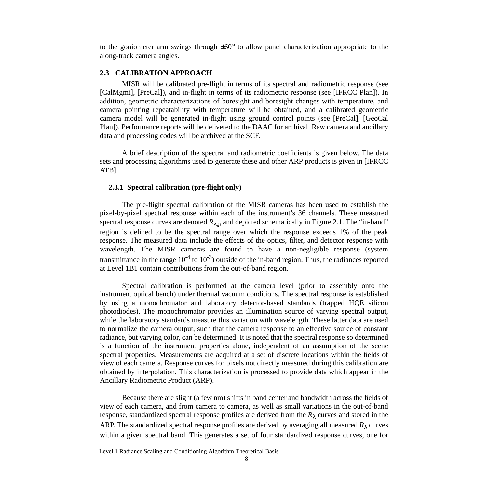<span id="page-13-0"></span>to the goniometer arm swings through ±60° to allow panel characterization appropriate to the along-track camera angles.

# **2.3 CALIBRATION APPROACH**

MISR will be calibrated pre-flight in terms of its spectral and radiometric response (see [CalMgmt], [PreCal]), and in-flight in terms of its radiometric response (see [IFRCC Plan]). In addition, geometric characterizations of boresight and boresight changes with temperature, and camera pointing repeatability with temperature will be obtained, and a calibrated geometric camera model will be generated in-flight using ground control points (see [PreCal], [GeoCal Plan]). Performance reports will be delivered to the DAAC for archival. Raw camera and ancillary data and processing codes will be archived at the SCF.

A brief description of the spectral and radiometric coefficients is given below. The data sets and processing algorithms used to generate these and other ARP products is given in [IFRCC ATB].

# **2.3.1 Spectral calibration (pre-flight only)**

The pre-flight spectral calibration of the MISR cameras has been used to establish the pixel-by-pixel spectral response within each of the instrument's 36 channels. These measured spectral response curves are denoted  $R_{\lambda,p}$  and depicted schematically in Figure [2.1](#page-15-0). The "in-band" region is defined to be the spectral range over which the response exceeds 1% of the peak response. The measured data include the effects of the optics, filter, and detector response with wavelength. The MISR cameras are found to have a non-negligible response (system transmittance in the range  $10^{-4}$  to  $10^{-3}$ ) outside of the in-band region. Thus, the radiances reported at Level 1B1 contain contributions from the out-of-band region.

Spectral calibration is performed at the camera level (prior to assembly onto the instrument optical bench) under thermal vacuum conditions. The spectral response is established by using a monochromator and laboratory detector-based standards (trapped HQE silicon photodiodes). The monochromator provides an illumination source of varying spectral output, while the laboratory standards measure this variation with wavelength. These latter data are used to normalize the camera output, such that the camera response to an effective source of constant radiance, but varying color, can be determined. It is noted that the spectral response so determined is a function of the instrument properties alone, independent of an assumption of the scene spectral properties. Measurements are acquired at a set of discrete locations within the fields of view of each camera. Response curves for pixels not directly measured during this calibration are obtained by interpolation. This characterization is processed to provide data which appear in the Ancillary Radiometric Product (ARP).

Because there are slight (a few nm) shifts in band center and bandwidth across the fields of view of each camera, and from camera to camera, as well as small variations in the out-of-band response, standardized spectral response profiles are derived from the *R*<sup>λ</sup> curves and stored in the ARP. The standardized spectral response profiles are derived by averaging all measured  $R_{\lambda}$  curves within a given spectral band. This generates a set of four standardized response curves, one for

Level 1 Radiance Scaling and Conditioning Algorithm Theoretical Basis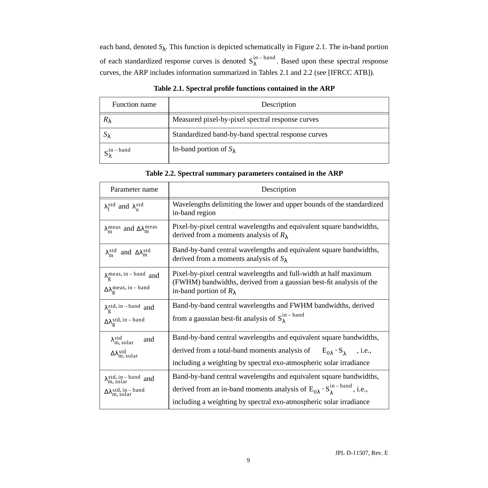each band, denoted  $S_{\lambda}$ . This function is depicted schematically in Figure [2.1.](#page-15-0) The in-band portion of each standardized response curves is denoted  $S_{\lambda}^{in-band}$ . Based upon these spectral response curves, the ARP includes information summarized in Tables 2.1 and 2.2 (see [IFRCC ATB]).

| Function name           | Description                                        |
|-------------------------|----------------------------------------------------|
|                         | Measured pixel-by-pixel spectral response curves   |
|                         | Standardized band-by-band spectral response curves |
| $S_{\lambda}^{in-band}$ | In-band portion of $S_{\lambda}$                   |

**Table 2.1. Spectral profile functions contained in the ARP**

| Table 2.2. Spectral summary parameters contained in the ARP |  |  |
|-------------------------------------------------------------|--|--|
|-------------------------------------------------------------|--|--|

| Parameter name                                                                                               | Description                                                                                                                                                                                                                                |  |  |
|--------------------------------------------------------------------------------------------------------------|--------------------------------------------------------------------------------------------------------------------------------------------------------------------------------------------------------------------------------------------|--|--|
| $\lambda_1^{\text{std}}$ and $\lambda_1^{\text{std}}$                                                        | Wavelengths delimiting the lower and upper bounds of the standardized<br>in-band region                                                                                                                                                    |  |  |
| $\lambda_{\rm m}^{\rm meas}$ and $\Delta\lambda_{\rm m}^{\rm meas}$                                          | Pixel-by-pixel central wavelengths and equivalent square bandwidths,<br>derived from a moments analysis of $R_{\lambda}$                                                                                                                   |  |  |
| $\lambda_{\rm m}^{\rm std}$ and $\Delta \lambda_{\rm m}^{\rm std}$                                           | Band-by-band central wavelengths and equivalent square bandwidths,<br>derived from a moments analysis of $S_{\lambda}$                                                                                                                     |  |  |
| $\lambda_g^{meas, in-band}$ and<br>$\Delta\lambda_g$ meas, in - band                                         | Pixel-by-pixel central wavelengths and full-width at half maximum<br>(FWHM) bandwidths, derived from a gaussian best-fit analysis of the<br>in-band portion of $R_{\lambda}$                                                               |  |  |
| $\lambda_g^{std, in-band}$ and<br>$\Delta\lambda_g^{std,\,in-band}$                                          | Band-by-band central wavelengths and FWHM bandwidths, derived<br>from a gaussian best-fit analysis of $S_{\lambda}^{\text{in-band}}$                                                                                                       |  |  |
| $\lambda_{m, \text{ solar}}^{\text{std}}$<br>and<br>$\Delta\lambda_{\rm m,~solar}^{\rm std}$                 | Band-by-band central wavelengths and equivalent square bandwidths,<br>derived from a total-band moments analysis of $E_{0\lambda} \cdot S_{\lambda}$ , i.e.,<br>including a weighting by spectral exo-atmospheric solar irradiance         |  |  |
| $\lambda_{m, \text{ solar}}^{\text{std, in-band}}$ and<br>$\Delta \lambda_{\rm m,~solar}^{\rm std,~in-band}$ | Band-by-band central wavelengths and equivalent square bandwidths,<br>derived from an in-band moments analysis of $E_{0\lambda} \cdot S_{\lambda}^{in-band}$ , i.e.,<br>including a weighting by spectral exo-atmospheric solar irradiance |  |  |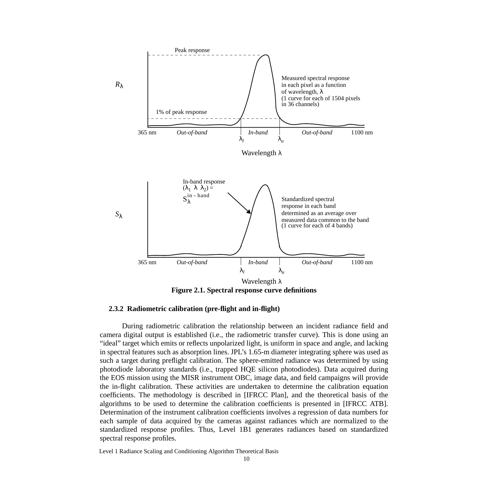<span id="page-15-0"></span>

**Figure 2.1. Spectral response curve definitions**

## **2.3.2 Radiometric calibration (pre-flight and in-flight)**

During radiometric calibration the relationship between an incident radiance field and camera digital output is established (i.e., the radiometric transfer curve). This is done using an "ideal" target which emits or reflects unpolarized light, is uniform in space and angle, and lacking in spectral features such as absorption lines. JPL's 1.65-m diameter integrating sphere was used as such a target during preflight calibration. The sphere-emitted radiance was determined by using photodiode laboratory standards (i.e., trapped HQE silicon photodiodes). Data acquired during the EOS mission using the MISR instrument OBC, image data, and field campaigns will provide the in-flight calibration. These activities are undertaken to determine the calibration equation coefficients. The methodology is described in [IFRCC Plan], and the theoretical basis of the algorithms to be used to determine the calibration coefficients is presented in [IFRCC ATB]. Determination of the instrument calibration coefficients involves a regression of data numbers for each sample of data acquired by the cameras against radiances which are normalized to the standardized response profiles. Thus, Level 1B1 generates radiances based on standardized spectral response profiles.

Level 1 Radiance Scaling and Conditioning Algorithm Theoretical Basis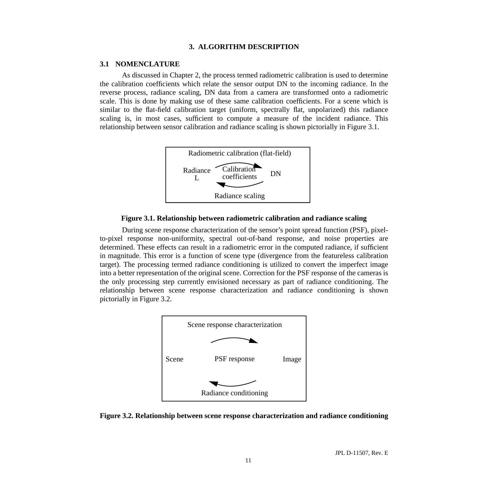# **3. ALGORITHM DESCRIPTION**

# <span id="page-16-0"></span>**3.1 NOMENCLATURE**

As discussed in Chapter 2, the process termed radiometric calibration is used to determine the calibration coefficients which relate the sensor output DN to the incoming radiance. In the reverse process, radiance scaling, DN data from a camera are transformed onto a radiometric scale. This is done by making use of these same calibration coefficients. For a scene which is similar to the flat-field calibration target (uniform, spectrally flat, unpolarized) this radiance scaling is, in most cases, sufficient to compute a measure of the incident radiance. This relationship between sensor calibration and radiance scaling is shown pictorially in Figure 3.1.



#### **Figure 3.1. Relationship between radiometric calibration and radiance scaling**

During scene response characterization of the sensor's point spread function (PSF), pixelto-pixel response non-uniformity, spectral out-of-band response, and noise properties are determined. These effects can result in a radiometric error in the computed radiance, if sufficient in magnitude. This error is a function of scene type (divergence from the featureless calibration target). The processing termed radiance conditioning is utilized to convert the imperfect image into a better representation of the original scene. Correction for the PSF response of the cameras is the only processing step currently envisioned necessary as part of radiance conditioning. The relationship between scene response characterization and radiance conditioning is shown pictorially in Figure 3.2.



### **Figure 3.2. Relationship between scene response characterization and radiance conditioning**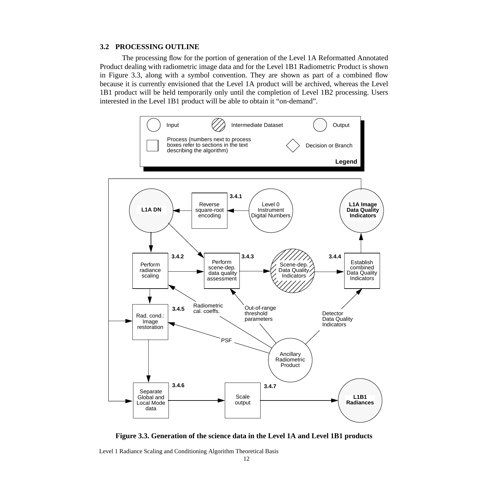#### <span id="page-17-0"></span>**3.2 PROCESSING OUTLINE**

The processing flow for the portion of generation of the Level 1A Reformatted Annotated Product dealing with radiometric image data and for the Level 1B1 Radiometric Product is shown in Figure 3.3, along with a symbol convention. They are shown as part of a combined flow because it is currently envisioned that the Level 1A product will be archived, whereas the Level 1B1 product will be held temporarily only until the completion of Level 1B2 processing. Users interested in the Level 1B1 product will be able to obtain it "on-demand".



**Figure 3.3. Generation of the science data in the Level 1A and Level 1B1 products**

Level 1 Radiance Scaling and Conditioning Algorithm Theoretical Basis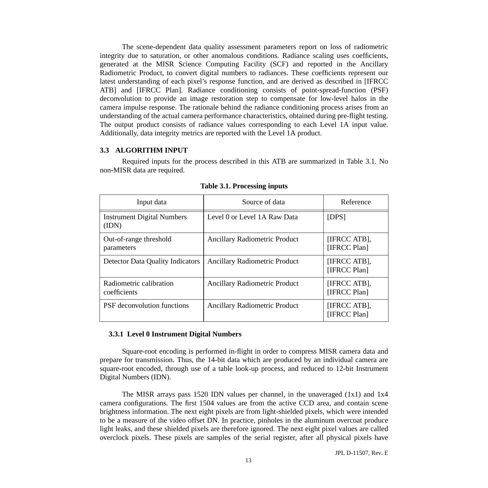<span id="page-18-0"></span>The scene-dependent data quality assessment parameters report on loss of radiometric integrity due to saturation, or other anomalous conditions. Radiance scaling uses coefficients, generated at the MISR Science Computing Facility (SCF) and reported in the Ancillary Radiometric Product, to convert digital numbers to radiances. These coefficients represent our latest understanding of each pixel's response function, and are derived as described in [IFRCC ATB] and [IFRCC Plan]. Radiance conditioning consists of point-spread-function (PSF) deconvolution to provide an image restoration step to compensate for low-level halos in the camera impulse response. The rationale behind the radiance conditioning process arises from an understanding of the actual camera performance characteristics, obtained during pre-flight testing. The output product consists of radiance values corresponding to each Level 1A input value. Additionally, data integrity metrics are reported with the Level 1A product.

# **3.3 ALGORITHM INPUT**

Required inputs for the process described in this ATB are summarized in Table 3.1. No non-MISR data are required.

| Input data                                 | Source of data                       | Reference                    |
|--------------------------------------------|--------------------------------------|------------------------------|
| <b>Instrument Digital Numbers</b><br>(IDN) | Level 0 or Level 1A Raw Data         | [DPS]                        |
| Out-of-range threshold<br>parameters       | <b>Ancillary Radiometric Product</b> | [IFRCC ATB],<br>[IFRCC Plan] |
| <b>Detector Data Quality Indicators</b>    | <b>Ancillary Radiometric Product</b> | [IFRCC ATB],<br>[IFRCC Plan] |
| Radiometric calibration<br>coefficients    | <b>Ancillary Radiometric Product</b> | [IFRCC ATB],<br>[IFRCC Plan] |
| PSF deconvolution functions                | <b>Ancillary Radiometric Product</b> | [IFRCC ATB],<br>[IFRCC Plan] |

**Table 3.1. Processing inputs**

# **3.3.1 Level 0 Instrument Digital Numbers**

Square-root encoding is performed in-flight in order to compress MISR camera data and prepare for transmission. Thus, the 14-bit data which are produced by an individual camera are square-root encoded, through use of a table look-up process, and reduced to 12-bit Instrument Digital Numbers (IDN).

The MISR arrays pass 1520 IDN values per channel, in the unaveraged (1x1) and 1x4 camera configurations. The first 1504 values are from the active CCD area, and contain scene brightness information. The next eight pixels are from light-shielded pixels, which were intended to be a measure of the video offset DN. In practice, pinholes in the aluminum overcoat produce light leaks, and these shielded pixels are therefore ignored. The next eight pixel values are called overclock pixels. These pixels are samples of the serial register, after all physical pixels have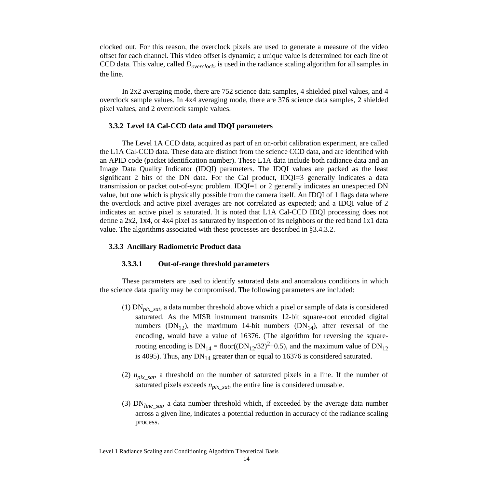<span id="page-19-0"></span>clocked out. For this reason, the overclock pixels are used to generate a measure of the video offset for each channel. This video offset is dynamic; a unique value is determined for each line of CCD data. This value, called *Doverclock*, is used in the radiance scaling algorithm for all samples in the line.

In 2x2 averaging mode, there are 752 science data samples, 4 shielded pixel values, and 4 overclock sample values. In 4x4 averaging mode, there are 376 science data samples, 2 shielded pixel values, and 2 overclock sample values.

# **3.3.2 Level 1A Cal-CCD data and IDQI parameters**

The Level 1A CCD data, acquired as part of an on-orbit calibration experiment, are called the L1A Cal-CCD data. These data are distinct from the science CCD data, and are identified with an APID code (packet identification number). These L1A data include both radiance data and an Image Data Quality Indicator (IDQI) parameters. The IDQI values are packed as the least significant 2 bits of the DN data. For the Cal product, IDQI=3 generally indicates a data transmission or packet out-of-sync problem. IDQI=1 or 2 generally indicates an unexpected DN value, but one which is physically possible from the camera itself. An IDQI of 1 flags data where the overclock and active pixel averages are not correlated as expected; and a IDQI value of 2 indicates an active pixel is saturated. It is noted that L1A Cal-CCD IDQI processing does not define a 2x2, 1x4, or 4x4 pixel as saturated by inspection of its neighbors or the red band 1x1 data value. The algorithms associated with these processes are described in §3.[4.3.2.](#page-24-0)

# **3.3.3 Ancillary Radiometric Product data**

### **3.3.3.1 Out-of-range threshold parameters**

These parameters are used to identify saturated data and anomalous conditions in which the science data quality may be compromised. The following parameters are included:

- (1) DN*pix\_sat*, a data number threshold above which a pixel or sample of data is considered saturated. As the MISR instrument transmits 12-bit square-root encoded digital numbers  $(DN_{12})$ , the maximum 14-bit numbers  $(DN_{14})$ , after reversal of the encoding, would have a value of 16376. (The algorithm for reversing the squarerooting encoding is  $DN_{14} = floor((DN_{12}/32)^2+0.5)$ , and the maximum value of  $DN_{12}$ is 4095). Thus, any  $DN_{14}$  greater than or equal to 16376 is considered saturated.
- (2)  $n_{pix\ sat}$ , a threshold on the number of saturated pixels in a line. If the number of saturated pixels exceeds  $n_{pix\ sat}$ , the entire line is considered unusable.
- (3) DN*line\_sat*, a data number threshold which, if exceeded by the average data number across a given line, indicates a potential reduction in accuracy of the radiance scaling process.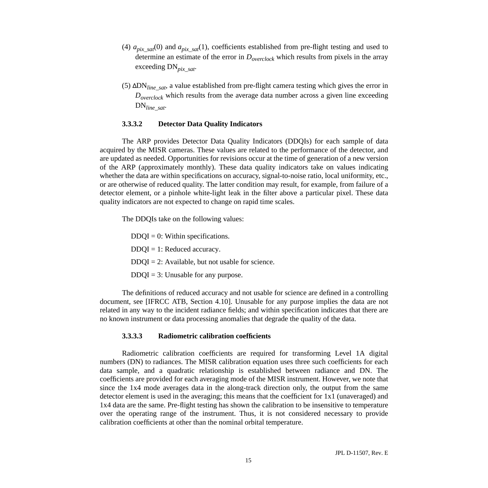- <span id="page-20-0"></span>(4) *apix\_sat*(0) and *apix\_sat*(1), coefficients established from pre-flight testing and used to determine an estimate of the error in  $D_{overlock}$  which results from pixels in the array exceeding DN*pix\_sat*.
- (5) <sup>∆</sup>DN*line\_sat,* a value established from pre-flight camera testing which gives the error in *Doverclock* which results from the average data number across a given line exceeding DN*line\_sat*.

# **3.3.3.2 Detector Data Quality Indicators**

The ARP provides Detector Data Quality Indicators (DDQIs) for each sample of data acquired by the MISR cameras. These values are related to the performance of the detector, and are updated as needed. Opportunities for revisions occur at the time of generation of a new version of the ARP (approximately monthly). These data quality indicators take on values indicating whether the data are within specifications on accuracy, signal-to-noise ratio, local uniformity, etc., or are otherwise of reduced quality. The latter condition may result, for example, from failure of a detector element, or a pinhole white-light leak in the filter above a particular pixel. These data quality indicators are not expected to change on rapid time scales.

The DDQIs take on the following values:

 $DDQI = 0$ : Within specifications.  $DDOI = 1$ : Reduced accuracy.  $DDOI = 2$ : Available, but not usable for science.  $DDOI = 3$ : Unusable for any purpose.

The definitions of reduced accuracy and not usable for science are defined in a controlling document, see [IFRCC ATB, Section 4.10]. Unusable for any purpose implies the data are not related in any way to the incident radiance fields; and within specification indicates that there are no known instrument or data processing anomalies that degrade the quality of the data.

# **3.3.3.3 Radiometric calibration coefficients**

Radiometric calibration coefficients are required for transforming Level 1A digital numbers (DN) to radiances. The MISR calibration equation uses three such coefficients for each data sample, and a quadratic relationship is established between radiance and DN. The coefficients are provided for each averaging mode of the MISR instrument. However, we note that since the 1x4 mode averages data in the along-track direction only, the output from the same detector element is used in the averaging; this means that the coefficient for 1x1 (unaveraged) and 1x4 data are the same. Pre-flight testing has shown the calibration to be insensitive to temperature over the operating range of the instrument. Thus, it is not considered necessary to provide calibration coefficients at other than the nominal orbital temperature.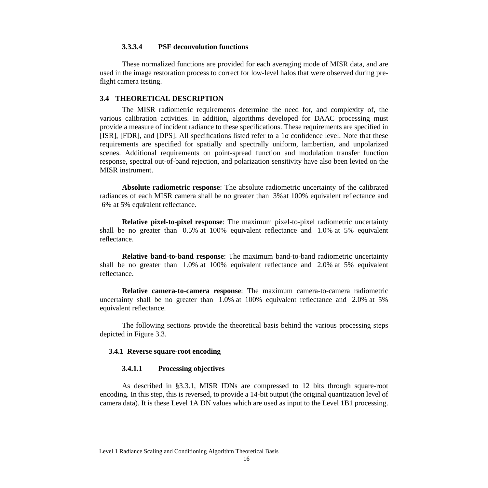# **3.3.3.4 PSF deconvolution functions**

<span id="page-21-0"></span>These normalized functions are provided for each averaging mode of MISR data, and are used in the image restoration process to correct for low-level halos that were observed during preflight camera testing.

# **3.4 THEORETICAL DESCRIPTION**

The MISR radiometric requirements determine the need for, and complexity of, the various calibration activities. In addition, algorithms developed for DAAC processing must provide a measure of incident radiance to these specifications. These requirements are specified in [ISR], [FDR], and [DPS]. All specifications listed refer to a  $1\sigma$  confidence level. Note that these requirements are specified for spatially and spectrally uniform, lambertian, and unpolarized scenes. Additional requirements on point-spread function and modulation transfer function response, spectral out-of-band rejection, and polarization sensitivity have also been levied on the MISR instrument.

**Absolute radiometric response**: The absolute radiometric uncertainty of the calibrated radiances of each MISR camera shall be no greater than 3%at 100% equivalent reflectance and 6% at 5% equivalent reflectance.

**Relative pixel-to-pixel response**: The maximum pixel-to-pixel radiometric uncertainty shall be no greater than 0.5% at 100% equivalent reflectance and 1.0% at 5% equivalent reflectance.

**Relative band-to-band response**: The maximum band-to-band radiometric uncertainty shall be no greater than 1.0% at 100% equivalent reflectance and 2.0% at 5% equivalent reflectance.

**Relative camera-to-camera response**: The maximum camera-to-camera radiometric uncertainty shall be no greater than 1.0% at 100% equivalent reflectance and 2.0% at 5% equivalent reflectance.

The following sections provide the theoretical basis behind the various processing steps depicted in Figure [3.3.](#page-17-0)

# **3.4.1 Reverse square-root encoding**

### **3.4.1.1 Processing objectives**

As described in [§3.3.1](#page-18-0), MISR IDNs are compressed to 12 bits through square-root encoding. In this step, this is reversed, to provide a 14-bit output (the original quantization level of camera data). It is these Level 1A DN values which are used as input to the Level 1B1 processing.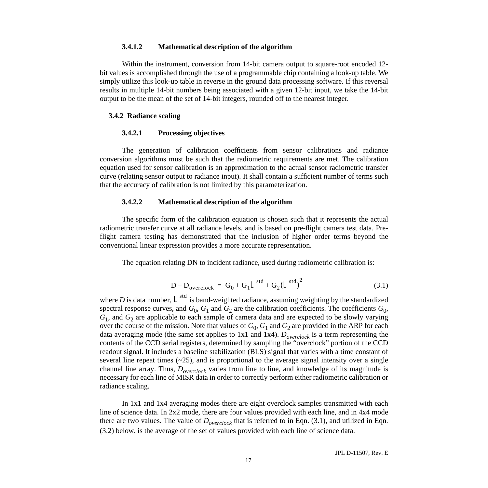# **3.4.1.2 Mathematical description of the algorithm**

<span id="page-22-0"></span>Within the instrument, conversion from 14-bit camera output to square-root encoded 12 bit values is accomplished through the use of a programmable chip containing a look-up table. We simply utilize this look-up table in reverse in the ground data processing software. If this reversal results in multiple 14-bit numbers being associated with a given 12-bit input, we take the 14-bit output to be the mean of the set of 14-bit integers, rounded off to the nearest integer.

# **3.4.2 Radiance scaling**

# **3.4.2.1 Processing objectives**

The generation of calibration coefficients from sensor calibrations and radiance conversion algorithms must be such that the radiometric requirements are met. The calibration equation used for sensor calibration is an approximation to the actual sensor radiometric transfer curve (relating sensor output to radiance input). It shall contain a sufficient number of terms such that the accuracy of calibration is not limited by this parameterization.

# **3.4.2.2 Mathematical description of the algorithm**

The specific form of the calibration equation is chosen such that it represents the actual radiometric transfer curve at all radiance levels, and is based on pre-flight camera test data. Preflight camera testing has demonstrated that the inclusion of higher order terms beyond the conventional linear expression provides a more accurate representation.

The equation relating DN to incident radiance, used during radiometric calibration is:

$$
D - D_{overclock} = G_0 + G_1 L^{std} + G_2 (L^{std})^2
$$
 (3.1)

where *D* is data number,  $L^{\text{std}}$  is band-weighted radiance, assuming weighting by the standardized spectral response curves, and  $G_0$ ,  $G_1$  and  $G_2$  are the calibration coefficients. The coefficients  $G_0$ ,  $G_1$ , and  $G_2$  are applicable to each sample of camera data and are expected to be slowly varying over the course of the mission. Note that values of  $G_0$ ,  $G_1$  and  $G_2$  are provided in the ARP for each data averaging mode (the same set applies to 1x1 and 1x4).  $D_{overclock}$  is a term representing the contents of the CCD serial registers, determined by sampling the "overclock" portion of the CCD readout signal. It includes a baseline stabilization (BLS) signal that varies with a time constant of several line repeat times  $(-25)$ , and is proportional to the average signal intensity over a single channel line array. Thus, *Doverclock* varies from line to line, and knowledge of its magnitude is necessary for each line of MISR data in order to correctly perform either radiometric calibration or radiance scaling.

In 1x1 and 1x4 averaging modes there are eight overclock samples transmitted with each line of science data. In 2x2 mode, there are four values provided with each line, and in 4x4 mode there are two values. The value of  $D_{overclock}$  that is referred to in [Eqn.](#page-23-0) (3.1), and utilized in Eqn. [\(3.2\)](#page-23-0) below, is the average of the set of values provided with each line of science data.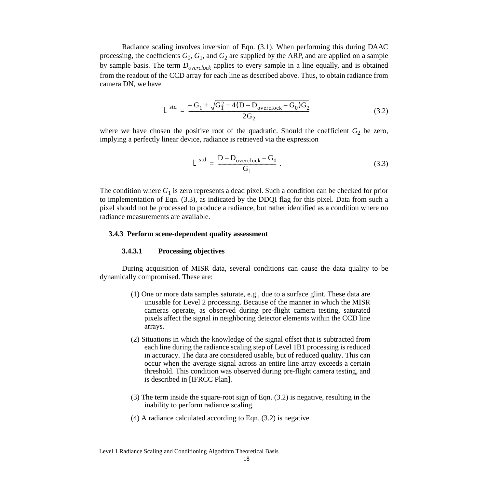<span id="page-23-0"></span>Radiance scaling involves inversion of [Eqn. \(3.1\).](#page-22-0) When performing this during DAAC processing, the coefficients  $G_0$ ,  $G_1$ , and  $G_2$  are supplied by the ARP, and are applied on a sample by sample basis. The term *Doverclock* applies to every sample in a line equally, and is obtained from the readout of the CCD array for each line as described above. Thus, to obtain radiance from camera DN, we have

$$
L^{std} = \frac{-G_1 + \sqrt{G_1^2 + 4(D - D_{overclock} - G_0)G_2}}{2G_2}
$$
(3.2)

where we have chosen the positive root of the quadratic. Should the coefficient  $G_2$  be zero, implying a perfectly linear device, radiance is retrieved via the expression

$$
\mathcal{L}^{\text{std}} = \frac{\mathcal{D} - \mathcal{D}_{\text{overclock}} - \mathcal{G}_0}{\mathcal{G}_1} \tag{3.3}
$$

The condition where  $G_1$  is zero represents a dead pixel. Such a condition can be checked for prior to implementation of Eqn. (3.3), as indicated by the DDQI flag for this pixel. Data from such a pixel should not be processed to produce a radiance, but rather identified as a condition where no radiance measurements are available.

#### **3.4.3 Perform scene-dependent quality assessment**

#### **3.4.3.1 Processing objectives**

During acquisition of MISR data, several conditions can cause the data quality to be dynamically compromised. These are:

- (1) One or more data samples saturate, e.g., due to a surface glint. These data are unusable for Level 2 processing. Because of the manner in which the MISR cameras operate, as observed during pre-flight camera testing, saturated pixels affect the signal in neighboring detector elements within the CCD line arrays.
- (2) Situations in which the knowledge of the signal offset that is subtracted from each line during the radiance scaling step of Level 1B1 processing is reduced in accuracy. The data are considered usable, but of reduced quality. This can occur when the average signal across an entire line array exceeds a certain threshold. This condition was observed during pre-flight camera testing, and is described in [IFRCC Plan].
- (3) The term inside the square-root sign of Eqn. (3.2) is negative, resulting in the inability to perform radiance scaling.
- (4) A radiance calculated according to Eqn. (3.2) is negative.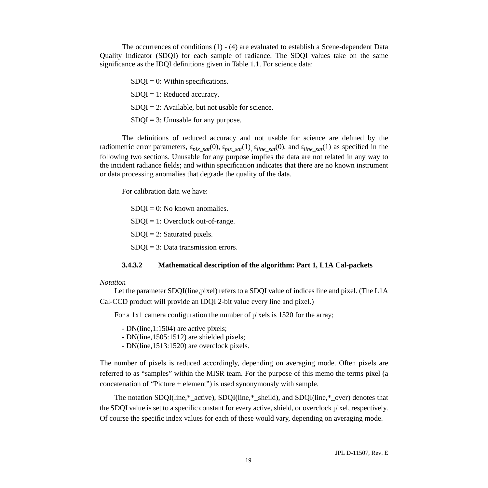<span id="page-24-0"></span>The occurrences of conditions (1) - (4) are evaluated to establish a Scene-dependent Data Quality Indicator (SDQI) for each sample of radiance. The SDQI values take on the same significance as the IDQI definitions given in Table 1[.1. F](#page-6-0)or science data:

> $SDQI = 0$ : Within specifications. SDQI = 1: Reduced accuracy.  $SDOI = 2$ : Available, but not usable for science.  $SDOI = 3$ : Unusable for any purpose.

The definitions of reduced accuracy and not usable for science are defined by the radiometric error parameters,  $\varepsilon_{pix\_sat}(0)$ ,  $\varepsilon_{pix\_sat}(1)$ ,  $\varepsilon_{line\_sat}(0)$ , and  $\varepsilon_{line\_sat}(1)$  as specified in the following two sections. Unusable for any purpose implies the data are not related in any way to the incident radiance fields; and within specification indicates that there are no known instrument or data processing anomalies that degrade the quality of the data.

For calibration data we have:

 $SDOI = 0$ : No known anomalies.

SDQI = 1: Overclock out-of-range.

 $SDOI = 2$ : Saturated pixels.

SDQI = 3: Data transmission errors.

# **3.4.3.2 Mathematical description of the algorithm: Part 1, L1A Cal-packets**

# *Notation*

Let the parameter SDQI(line, pixel) refers to a SDQI value of indices line and pixel. (The L1A Cal-CCD product will provide an IDQI 2-bit value every line and pixel.)

For a 1x1 camera configuration the number of pixels is 1520 for the array;

- DN(line,1:1504) are active pixels;

- DN(line,1505:1512) are shielded pixels;

- DN(line,1513:1520) are overclock pixels.

The number of pixels is reduced accordingly, depending on averaging mode. Often pixels are referred to as "samples" within the MISR team. For the purpose of this memo the terms pixel (a concatenation of "Picture + element") is used synonymously with sample.

The notation SDQI(line,\*\_active), SDQI(line,\*\_sheild), and SDQI(line,\*\_over) denotes that the SDQI value is set to a specific constant for every active, shield, or overclock pixel, respectively. Of course the specific index values for each of these would vary, depending on averaging mode.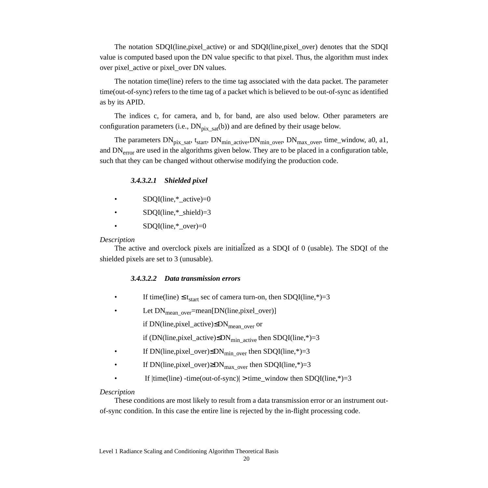The notation SDQI(line,pixel\_active) or and SDQI(line,pixel\_over) denotes that the SDQI value is computed based upon the DN value specific to that pixel. Thus, the algorithm must index over pixel\_active or pixel\_over DN values.

The notation time(line) refers to the time tag associated with the data packet. The parameter time(out-of-sync) refers to the time tag of a packet which is believed to be out-of-sync as identified as by its APID.

The indices c, for camera, and b, for band, are also used below. Other parameters are configuration parameters (i.e.,  $DN_{pix-sat}(b)$ ) and are defined by their usage below.

The parameters  $DN_{pix\_sat}$ ,  $t_{start}$ ,  $DN_{min\_active}$ ,  $DN_{min\_over}$ ,  $DN_{max\_over}$ , time\_window, a0, a1, and  $DN_{error}$  are used in the algorithms given below. They are to be placed in a configuration table, such that they can be changed without otherwise modifying the production code.

# *3.4.3.2.1 Shielded pixel*

- SDQI(line,\*\_active)=0
- SDQI(line,\*\_shield)=3
- $SDQI$ (line, $*$ \_over)=0

# *Description*

The active and overclock pixels are initialized as a SDQI of 0 (usable). The SDQI of the shielded pixels are set to 3 (unusable).

# *3.4.3.2.2 Data transmission errors*

- If time(line)  $\leq t_{start}$  sec of camera turn-on, then SDQI(line,\*)=3
- Let  $DN_{mean\ over}=mean[DN(line,pixel\_over)]$

if DN(line, pixel\_active) $\leq$ DN<sub>mean\_over</sub> or

- if (DN(line, pixel\_active) $\leq$ DN<sub>min\_active</sub> then SDQI(line,\*)=3
- If DN(line, pixel\_over) $\leq$ DN<sub>min\_over</sub> then SDQI(line, \*)=3
- If DN(line,pixel\_over)≥DN<sub>max\_over</sub> then SDQI(line,\*)=3
- If  $|\text{time}(\text{line}) \text{time}(\text{out-of-sync})| > \text{time\_window}$  then SDQI(line,\*)=3

# *Description*

These conditions are most likely to result from a data transmission error or an instrument outof-sync condition. In this case the entire line is rejected by the in-flight processing code.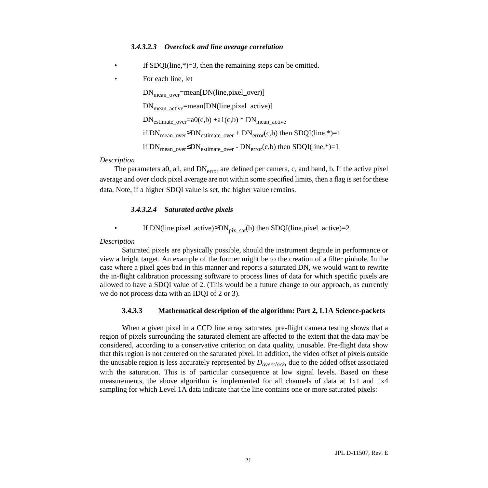# *3.4.3.2.3 Overclock and line average correlation*

- <span id="page-26-0"></span>If SDQI(line, $\ast$ )=3, then the remaining steps can be omitted.
- For each line, let

DN<sub>mean\_over</sub>=mean[DN(line,pixel\_over)] DN<sub>mean\_active</sub>=mean[DN(line,pixel\_active)]  $DN_{\text{estimate over}} = a0(c,b) + a1(c,b) * DN_{\text{mean active}}$ if  $DN_{mean\_over} \geq DN_{estimate\_over} + DN_{error}(c,b)$  then SDQI(line,\*)=1 if  $DN_{mean\ over} \leq DN_{estimate\ over} - DN_{error}(c,b)$  then SDQI(line,\*)=1

### *Description*

The parameters a0, a1, and  $DN<sub>error</sub>$  are defined per camera, c, and band, b. If the active pixel average and over clock pixel average are not within some specified limits, then a flag is set for these data. Note, if a higher SDQI value is set, the higher value remains.

# *3.4.3.2.4 Saturated active pixels*

If DN(line,pixel\_active) $\geq$ DN<sub>pix\_sat</sub>(b) then SDQI(line,pixel\_active)=2

## *Description*

Saturated pixels are physically possible, should the instrument degrade in performance or view a bright target. An example of the former might be to the creation of a filter pinhole. In the case where a pixel goes bad in this manner and reports a saturated DN, we would want to rewrite the in-flight calibration processing software to process lines of data for which specific pixels are allowed to have a SDQI value of 2. (This would be a future change to our approach, as currently we do not process data with an IDQI of 2 or 3).

#### **3.4.3.3 Mathematical description of the algorithm: Part 2, L1A Science-packets**

When a given pixel in a CCD line array saturates, pre-flight camera testing shows that a region of pixels surrounding the saturated element are affected to the extent that the data may be considered, according to a conservative criterion on data quality, unusable. Pre-flight data show that this region is not centered on the saturated pixel. In addition, the video offset of pixels outside the unusable region is less accurately represented by  $D_{overlock}$ , due to the added offset associated with the saturation. This is of particular consequence at low signal levels. Based on these measurements, the above algorithm is implemented for all channels of data at 1x1 and 1x4 sampling for which Level 1A data indicate that the line contains one or more saturated pixels: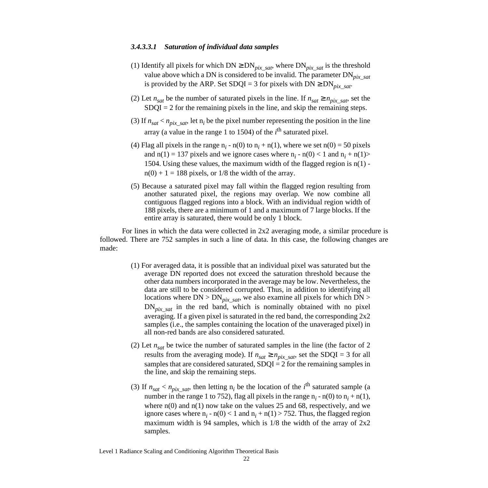### <span id="page-27-0"></span>*3.4.3.3.1 Saturation of individual data samples*

- (1) Identify all pixels for which  $DN \geq DN_{pix\_sat}$ , where  $DN_{pix\_sat}$  is the threshold value above which a DN is considered to be invalid. The parameter DN*pix\_sat* is provided by the ARP. Set  $SDQI = 3$  for pixels with  $DN \geq DN_{pix\_sat}$ .
- (2) Let  $n_{sat}$  be the number of saturated pixels in the line. If  $n_{sat} \ge n_{pix-sat}$ , set the  $SDQI = 2$  for the remaining pixels in the line, and skip the remaining steps.
- (3) If  $n_{sat} < n_{pix-sat}$ , let  $n_i$  be the pixel number representing the position in the line array (a value in the range 1 to 1504) of the *i*<sup>th</sup> saturated pixel.
- (4) Flag all pixels in the range  $n_i n(0)$  to  $n_i + n(1)$ , where we set  $n(0) = 50$  pixels and  $n(1) = 137$  pixels and we ignore cases where  $n<sub>i</sub> - n(0) < 1$  and  $n<sub>i</sub> + n(1)$ 1504. Using these values, the maximum width of the flagged region is n(1)  $n(0) + 1 = 188$  pixels, or 1/8 the width of the array.
- (5) Because a saturated pixel may fall within the flagged region resulting from another saturated pixel, the regions may overlap. We now combine all contiguous flagged regions into a block. With an individual region width of 188 pixels, there are a minimum of 1 and a maximum of 7 large blocks. If the entire array is saturated, there would be only 1 block.

For lines in which the data were collected in 2x2 averaging mode, a similar procedure is followed. There are 752 samples in such a line of data. In this case, the following changes are made:

- (1) For averaged data, it is possible that an individual pixel was saturated but the average DN reported does not exceed the saturation threshold because the other data numbers incorporated in the average may be low. Nevertheless, the data are still to be considered corrupted. Thus, in addition to identifying all locations where  $DN > DN_{pix\_sat}$ , we also examine all pixels for which  $DN >$  $DN<sub>pix</sub>$  *sat* in the red band, which is nominally obtained with no pixel averaging. If a given pixel is saturated in the red band, the corresponding 2x2 samples (i.e., the samples containing the location of the unaveraged pixel) in all non-red bands are also considered saturated.
- (2) Let  $n_{\text{sat}}$  be twice the number of saturated samples in the line (the factor of 2) results from the averaging mode). If  $n_{sat} \ge n_{pix\_sat}$ , set the SDQI = 3 for all samples that are considered saturated,  $SDQI = 2$  for the remaining samples in the line, and skip the remaining steps.
- (3) If  $n_{sat} < n_{pix\_sat}$ , then letting  $n_i$  be the location of the *i*<sup>th</sup> saturated sample (a number in the range 1 to 752), flag all pixels in the range  $n_i$  -  $n(0)$  to  $n_i$  +  $n(1)$ , where  $n(0)$  and  $n(1)$  now take on the values 25 and 68, respectively, and we ignore cases where  $n_i - n(0) < 1$  and  $n_i + n(1) > 752$ . Thus, the flagged region maximum width is 94 samples, which is  $1/8$  the width of the array of  $2x2$ samples.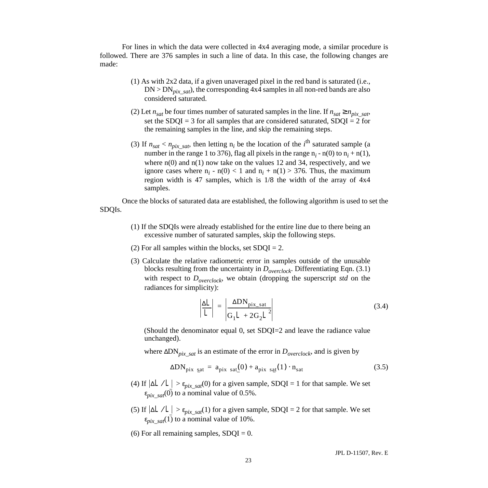For lines in which the data were collected in 4x4 averaging mode, a similar procedure is followed. There are 376 samples in such a line of data. In this case, the following changes are made:

- (1) As with 2x2 data, if a given unaveraged pixel in the red band is saturated (i.e.,  $DN > DN_{pix-sat}$ , the corresponding 4x4 samples in all non-red bands are also considered saturated.
- (2) Let  $n_{sat}$  be four times number of saturated samples in the line. If  $n_{sat} \ge n_{pix-sat}$ , set the SDQI = 3 for all samples that are considered saturated,  $SDQI = 2$  for the remaining samples in the line, and skip the remaining steps.
- (3) If  $n_{sat} < n_{pix\_sat}$ , then letting  $n_i$  be the location of the *i*<sup>th</sup> saturated sample (a number in the range 1 to 376), flag all pixels in the range  $n_i$  -  $n(0)$  to  $n_i + n(1)$ , where  $n(0)$  and  $n(1)$  now take on the values 12 and 34, respectively, and we ignore cases where  $n_i$  -  $n(0)$  < 1 and  $n_i$  +  $n(1)$  > 376. Thus, the maximum region width is 47 samples, which is 1/8 the width of the array of 4x4 samples.

Once the blocks of saturated data are established, the following algorithm is used to set the SDQIs.

- (1) If the SDQIs were already established for the entire line due to there being an excessive number of saturated samples, skip the following steps.
- (2) For all samples within the blocks, set  $SDQI = 2$ .
- (3) Calculate the relative radiometric error in samples outside of the unusable blocks resulting from the uncertainty in *Doverclock*. Differentiating [Eqn. \(3.1\)](#page-22-0) with respect to  $D_{overclock}$ , we obtain (dropping the superscript *std* on the radiances for simplicity):

$$
\left|\frac{\Delta L}{L}\right| = \left|\frac{\Delta DN_{\text{pix\_sat}}}{G_1 L + 2G_2 L^2}\right| \tag{3.4}
$$

(Should the denominator equal 0, set SDQI=2 and leave the radiance value unchanged).

where  $\Delta DN_{pix}$  sat is an estimate of the error in  $D_{overclock}$ , and is given by

$$
\Delta DN_{\text{pix sat}} = a_{\text{pix sat}}(0) + a_{\text{pix sat}}(1) \cdot n_{\text{sat}} \tag{3.5}
$$

- (4) If  $|\Delta L/L| > \varepsilon_{pix\_sat}(0)$  for a given sample, SDQI = 1 for that sample. We set  $\varepsilon_{pix\ sat}(0)$  to a nominal value of 0.5%.
- (5) If  $|\Delta L/L| > \varepsilon_{pix\_sat}(1)$  for a given sample, SDQI = 2 for that sample. We set  $\varepsilon_{pix}$  sat<sup>(1)</sup> to a nominal value of 10%.
- (6) For all remaining samples,  $SDQI = 0$ .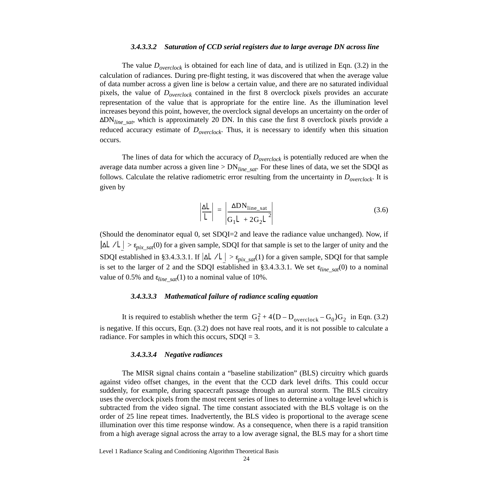#### *3.4.3.3.2 Saturation of CCD serial registers due to large average DN across line*

<span id="page-29-0"></span>The value  $D_{overlock}$  is obtained for each line of data, and is utilized in [Eqn. \(3.2\)](#page-23-0) in the calculation of radiances. During pre-flight testing, it was discovered that when the average value of data number across a given line is below a certain value, and there are no saturated individual pixels, the value of *Doverclock* contained in the first 8 overclock pixels provides an accurate representation of the value that is appropriate for the entire line. As the illumination level increases beyond this point, however, the overclock signal develops an uncertainty on the order of <sup>∆</sup>DN*line\_sat*, which is approximately 20 DN. In this case the first 8 overclock pixels provide a reduced accuracy estimate of  $D_{overlock}$ . Thus, it is necessary to identify when this situation occurs.

The lines of data for which the accuracy of  $D_{overlock}$  is potentially reduced are when the average data number across a given line > DN*line\_sat*. For these lines of data, we set the SDQI as follows. Calculate the relative radiometric error resulting from the uncertainty in  $D_{overlock}$ . It is given by

$$
\left|\frac{\Delta L}{L}\right| = \left|\frac{\Delta DN_{\text{line\_sat}}}{G_1 L + 2G_2 L^2}\right| \tag{3.6}
$$

(Should the denominator equal 0, set SDQI=2 and leave the radiance value unchanged). Now, if > <sup>ε</sup>*pix\_sat*(0) for a given sample, SDQI for that sample is set to the larger of unity and the ∆*L L*⁄ SDQI established in [§3.4.3.3.1.](#page-27-0) If  $|\Delta L/L| > \varepsilon_{pix\_sat}(1)$  for a given sample, SDQI for that sample is set to the larger of 2 and the SDQI established in [§3.4.3.3.1](#page-27-0). We set  $\varepsilon_{line-sat}(0)$  to a nominal value of 0.5% and  $\varepsilon_{line-sat}(1)$  to a nominal value of 10%.

#### *3.4.3.3.3 Mathematical failure of radiance scaling equation*

It is required to establish whether the term  $G_1^2 + 4(D - D_{\text{overclock}} - G_0)G_2$  in [Eqn. \(3.2\)](#page-23-0) is negative. If this occurs, [Eqn. \(3.2\)](#page-23-0) does not have real roots, and it is not possible to calculate a radiance. For samples in which this occurs,  $SDQI = 3$ .

#### *3.4.3.3.4 Negative radiances*

The MISR signal chains contain a "baseline stabilization" (BLS) circuitry which guards against video offset changes, in the event that the CCD dark level drifts. This could occur suddenly, for example, during spacecraft passage through an auroral storm. The BLS circuitry uses the overclock pixels from the most recent series of lines to determine a voltage level which is subtracted from the video signal. The time constant associated with the BLS voltage is on the order of 25 line repeat times. Inadvertently, the BLS video is proportional to the average scene illumination over this time response window. As a consequence, when there is a rapid transition from a high average signal across the array to a low average signal, the BLS may for a short time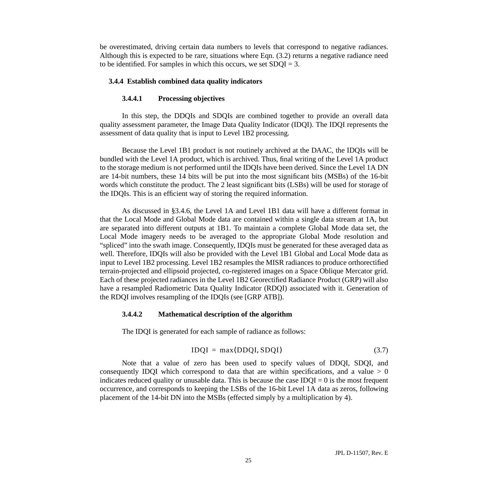<span id="page-30-0"></span>be overestimated, driving certain data numbers to levels that correspond to negative radiances. Although this is expected to be rare, situations where [Eqn. \(3.2\)](#page-23-0) returns a negative radiance need to be identified. For samples in which this occurs, we set  $SDQI = 3$ .

# **3.4.4 Establish combined data quality indicators**

# **3.4.4.1 Processing objectives**

In this step, the DDQIs and SDQIs are combined together to provide an overall data quality assessment parameter, the Image Data Quality Indicator (IDQI). The IDQI represents the assessment of data quality that is input to Level 1B2 processing.

Because the Level 1B1 product is not routinely archived at the DAAC, the IDQIs will be bundled with the Level 1A product, which is archived. Thus, final writing of the Level 1A product to the storage medium is not performed until the IDQIs have been derived. Since the Level 1A DN are 14-bit numbers, these 14 bits will be put into the most significant bits (MSBs) of the 16-bit words which constitute the product. The 2 least significant bits (LSBs) will be used for storage of the IDQIs. This is an efficient way of storing the required information.

As discussed in [§3.4.6,](#page-34-0) the Level 1A and Level 1B1 data will have a different format in that the Local Mode and Global Mode data are contained within a single data stream at 1A, but are separated into different outputs at 1B1. To maintain a complete Global Mode data set, the Local Mode imagery needs to be averaged to the appropriate Global Mode resolution and "spliced" into the swath image. Consequently, IDQIs must be generated for these averaged data as well. Therefore, IDQIs will also be provided with the Level 1B1 Global and Local Mode data as input to Level 1B2 processing. Level 1B2 resamples the MISR radiances to produce orthorectified terrain-projected and ellipsoid projected, co-registered images on a Space Oblique Mercator grid. Each of these projected radiances in the Level 1B2 Georectified Radiance Product (GRP) will also have a resampled Radiometric Data Quality Indicator (RDQI) associated with it. Generation of the RDQI involves resampling of the IDQIs (see [GRP ATB]).

# **3.4.4.2 Mathematical description of the algorithm**

The IDQI is generated for each sample of radiance as follows:

$$
IDQI = max(DDQI, SDQI)
$$
 (3.7)

Note that a value of zero has been used to specify values of DDQI, SDQI, and consequently IDQI which correspond to data that are within specifications, and a value  $> 0$ indicates reduced quality or unusable data. This is because the case  $IDQI = 0$  is the most frequent occurrence, and corresponds to keeping the LSBs of the 16-bit Level 1A data as zeros, following placement of the 14-bit DN into the MSBs (effected simply by a multiplication by 4).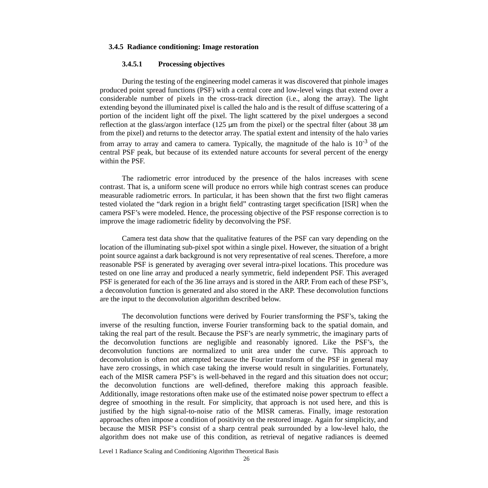# <span id="page-31-0"></span>**3.4.5 Radiance conditioning: Image restoration**

### **3.4.5.1 Processing objectives**

During the testing of the engineering model cameras it was discovered that pinhole images produced point spread functions (PSF) with a central core and low-level wings that extend over a considerable number of pixels in the cross-track direction (i.e., along the array). The light extending beyond the illuminated pixel is called the halo and is the result of diffuse scattering of a portion of the incident light off the pixel. The light scattered by the pixel undergoes a second reflection at the glass/argon interface (125  $\mu$ m from the pixel) or the spectral filter (about 38  $\mu$ m from the pixel) and returns to the detector array. The spatial extent and intensity of the halo varies from array to array and camera to camera. Typically, the magnitude of the halo is  $10^{-3}$  of the central PSF peak, but because of its extended nature accounts for several percent of the energy within the PSF.

The radiometric error introduced by the presence of the halos increases with scene contrast. That is, a uniform scene will produce no errors while high contrast scenes can produce measurable radiometric errors. In particular, it has been shown that the first two flight cameras tested violated the "dark region in a bright field" contrasting target specification [ISR] when the camera PSF's were modeled. Hence, the processing objective of the PSF response correction is to improve the image radiometric fidelity by deconvolving the PSF.

Camera test data show that the qualitative features of the PSF can vary depending on the location of the illuminating sub-pixel spot within a single pixel. However, the situation of a bright point source against a dark background is not very representative of real scenes. Therefore, a more reasonable PSF is generated by averaging over several intra-pixel locations. This procedure was tested on one line array and produced a nearly symmetric, field independent PSF. This averaged PSF is generated for each of the 36 line arrays and is stored in the ARP. From each of these PSF's, a deconvolution function is generated and also stored in the ARP. These deconvolution functions are the input to the deconvolution algorithm described below.

The deconvolution functions were derived by Fourier transforming the PSF's, taking the inverse of the resulting function, inverse Fourier transforming back to the spatial domain, and taking the real part of the result. Because the PSF's are nearly symmetric, the imaginary parts of the deconvolution functions are negligible and reasonably ignored. Like the PSF's, the deconvolution functions are normalized to unit area under the curve. This approach to deconvolution is often not attempted because the Fourier transform of the PSF in general may have zero crossings, in which case taking the inverse would result in singularities. Fortunately, each of the MISR camera PSF's is well-behaved in the regard and this situation does not occur; the deconvolution functions are well-defined, therefore making this approach feasible. Additionally, image restorations often make use of the estimated noise power spectrum to effect a degree of smoothing in the result. For simplicity, that approach is not used here, and this is justified by the high signal-to-noise ratio of the MISR cameras. Finally, image restoration approaches often impose a condition of positivity on the restored image. Again for simplicity, and because the MISR PSF's consist of a sharp central peak surrounded by a low-level halo, the algorithm does not make use of this condition, as retrieval of negative radiances is deemed

Level 1 Radiance Scaling and Conditioning Algorithm Theoretical Basis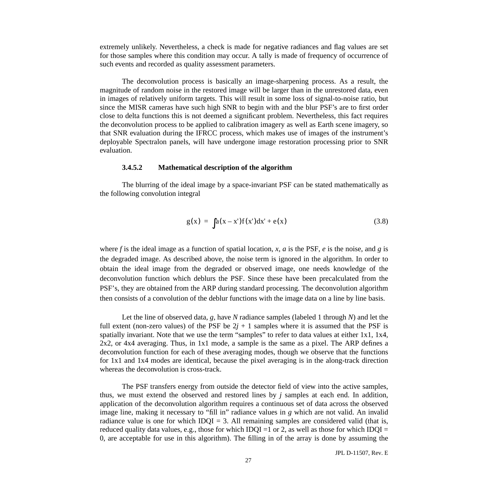<span id="page-32-0"></span>extremely unlikely. Nevertheless, a check is made for negative radiances and flag values are set for those samples where this condition may occur. A tally is made of frequency of occurrence of such events and recorded as quality assessment parameters.

The deconvolution process is basically an image-sharpening process. As a result, the magnitude of random noise in the restored image will be larger than in the unrestored data, even in images of relatively uniform targets. This will result in some loss of signal-to-noise ratio, but since the MISR cameras have such high SNR to begin with and the blur PSF's are to first order close to delta functions this is not deemed a significant problem. Nevertheless, this fact requires the deconvolution process to be applied to calibration imagery as well as Earth scene imagery, so that SNR evaluation during the IFRCC process, which makes use of images of the instrument's deployable Spectralon panels, will have undergone image restoration processing prior to SNR evaluation.

# **3.4.5.2 Mathematical description of the algorithm**

The blurring of the ideal image by a space-invariant PSF can be stated mathematically as the following convolution integral

$$
g(x) = \int a(x - x')f(x')dx' + e(x)
$$
 (3.8)

where *f* is the ideal image as a function of spatial location, *x*, *a* is the PSF, *e* is the noise, and *g* is the degraded image. As described above, the noise term is ignored in the algorithm. In order to obtain the ideal image from the degraded or observed image, one needs knowledge of the deconvolution function which deblurs the PSF. Since these have been precalculated from the PSF's, they are obtained from the ARP during standard processing. The deconvolution algorithm then consists of a convolution of the deblur functions with the image data on a line by line basis.

Let the line of observed data, *g*, have *N* radiance samples (labeled 1 through *N*) and let the full extent (non-zero values) of the PSF be  $2j + 1$  samples where it is assumed that the PSF is spatially invariant. Note that we use the term "samples" to refer to data values at either 1x1, 1x4, 2x2, or 4x4 averaging. Thus, in 1x1 mode, a sample is the same as a pixel. The ARP defines a deconvolution function for each of these averaging modes, though we observe that the functions for 1x1 and 1x4 modes are identical, because the pixel averaging is in the along-track direction whereas the deconvolution is cross-track.

The PSF transfers energy from outside the detector field of view into the active samples, thus, we must extend the observed and restored lines by *j* samples at each end. In addition, application of the deconvolution algorithm requires a continuous set of data across the observed image line, making it necessary to "fill in" radiance values in *g* which are not valid. An invalid radiance value is one for which  $IDQI = 3$ . All remaining samples are considered valid (that is, reduced quality data values, e.g., those for which IDQI =1 or 2, as well as those for which IDQI = 0, are acceptable for use in this algorithm). The filling in of the array is done by assuming the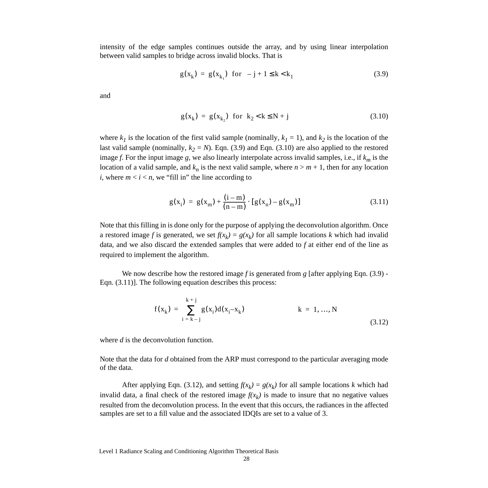intensity of the edge samples continues outside the array, and by using linear interpolation between valid samples to bridge across invalid blocks. That is

$$
g(x_k) = g(x_{k_1}) \text{ for } -j+1 \le k < k_1
$$
 (3.9)

and

$$
g(x_k) = g(x_{k_2}) \text{ for } k_2 < k \le N + j \tag{3.10}
$$

where  $k_1$  is the location of the first valid sample (nominally,  $k_1 = 1$ ), and  $k_2$  is the location of the last valid sample (nominally,  $k_2 = N$ ). Eqn. (3.9) and Eqn. (3.10) are also applied to the restored image *f*. For the input image *g*, we also linearly interpolate across invalid samples, i.e., if  $k_m$  is the location of a valid sample, and  $k_n$  is the next valid sample, where  $n > m + 1$ , then for any location *i*, where  $m < i < n$ , we "fill in" the line according to

$$
g(x_i) = g(x_m) + \frac{(i-m)}{(n-m)} \cdot [g(x_n) - g(x_m)] \tag{3.11}
$$

Note that this filling in is done only for the purpose of applying the deconvolution algorithm. Once a restored image *f* is generated, we set  $f(x_k) = g(x_k)$  for all sample locations *k* which had invalid data, and we also discard the extended samples that were added to *f* at either end of the line as required to implement the algorithm.

We now describe how the restored image f is generated from g [after applying Eqn. (3.9) -Eqn. (3.11)]. The following equation describes this process:

$$
f(x_k) = \sum_{i=k-j}^{k+j} g(x_i) d(x_i - x_k)
$$
 k = 1, ..., N (3.12)

where *d* is the deconvolution function.

Note that the data for *d* obtained from the ARP must correspond to the particular averaging mode of the data.

After applying Eqn. (3.12), and setting  $f(x_k) = g(x_k)$  for all sample locations k which had invalid data, a final check of the restored image  $f(x_k)$  is made to insure that no negative values resulted from the deconvolution process. In the event that this occurs, the radiances in the affected samples are set to a fill value and the associated IDQIs are set to a value of 3.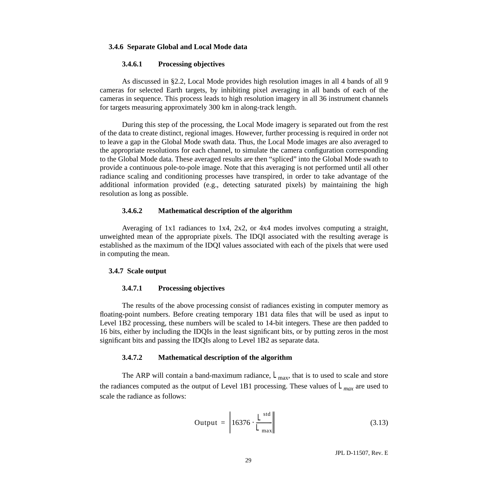# <span id="page-34-0"></span>**3.4.6 Separate Global and Local Mode data**

### **3.4.6.1 Processing objectives**

As discussed in [§2.2,](#page-11-0) Local Mode provides high resolution images in all 4 bands of all 9 cameras for selected Earth targets, by inhibiting pixel averaging in all bands of each of the cameras in sequence. This process leads to high resolution imagery in all 36 instrument channels for targets measuring approximately 300 km in along-track length.

During this step of the processing, the Local Mode imagery is separated out from the rest of the data to create distinct, regional images. However, further processing is required in order not to leave a gap in the Global Mode swath data. Thus, the Local Mode images are also averaged to the appropriate resolutions for each channel, to simulate the camera configuration corresponding to the Global Mode data. These averaged results are then "spliced" into the Global Mode swath to provide a continuous pole-to-pole image. Note that this averaging is not performed until all other radiance scaling and conditioning processes have transpired, in order to take advantage of the additional information provided (e.g., detecting saturated pixels) by maintaining the high resolution as long as possible.

# **3.4.6.2 Mathematical description of the algorithm**

Averaging of 1x1 radiances to 1x4, 2x2, or 4x4 modes involves computing a straight, unweighted mean of the appropriate pixels. The IDQI associated with the resulting average is established as the maximum of the IDQI values associated with each of the pixels that were used in computing the mean.

### **3.4.7 Scale output**

## **3.4.7.1 Processing objectives**

The results of the above processing consist of radiances existing in computer memory as floating-point numbers. Before creating temporary 1B1 data files that will be used as input to Level 1B2 processing, these numbers will be scaled to 14-bit integers. These are then padded to 16 bits, either by including the IDQIs in the least significant bits, or by putting zeros in the most significant bits and passing the IDQIs along to Level 1B2 as separate data.

# **3.4.7.2 Mathematical description of the algorithm**

The ARP will contain a band-maximum radiance,  $L_{\text{max}}$ , that is to used to scale and store the radiances computed as the output of Level 1B1 processing. These values of *Lmax* are used to scale the radiance as follows:

$$
Output = \left\| 16376 \cdot \frac{L^{\text{std}}}{L_{\text{max}}} \right\| \tag{3.13}
$$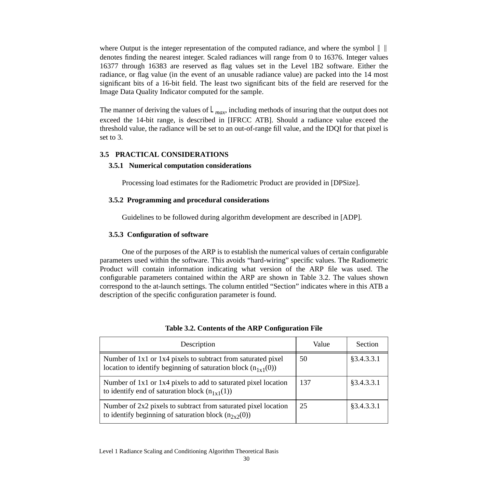<span id="page-35-0"></span>where Output is the integer representation of the computed radiance, and where the symbol  $\|\cdot\|$ denotes finding the nearest integer. Scaled radiances will range from 0 to 16376. Integer values 16377 through 16383 are reserved as flag values set in the Level 1B2 software. Either the radiance, or flag value (in the event of an unusable radiance value) are packed into the 14 most significant bits of a 16-bit field. The least two significant bits of the field are reserved for the Image Data Quality Indicator computed for the sample.

The manner of deriving the values of  $L_{max}$ , including methods of insuring that the output does not exceed the 14-bit range, is described in [IFRCC ATB]. Should a radiance value exceed the threshold value, the radiance will be set to an out-of-range fill value, and the IDQI for that pixel is set to 3.

# **3.5 PRACTICAL CONSIDERATIONS**

# **3.5.1 Numerical computation considerations**

Processing load estimates for the Radiometric Product are provided in [DPSize].

# **3.5.2 Programming and procedural considerations**

Guidelines to be followed during algorithm development are described in [ADP].

# **3.5.3 Configuration of software**

One of the purposes of the ARP is to establish the numerical values of certain configurable parameters used within the software. This avoids "hard-wiring" specific values. The Radiometric Product will contain information indicating what version of the ARP file was used. The configurable parameters contained within the ARP are shown in Table 3.2. The values shown correspond to the at-launch settings. The column entitled "Section" indicates where in this ATB a description of the specific configuration parameter is found.

| Description                                                                                                                       | Value | Section    |
|-----------------------------------------------------------------------------------------------------------------------------------|-------|------------|
| Number of 1x1 or 1x4 pixels to subtract from saturated pixel<br>location to identify beginning of saturation block $(n_{1x1}(0))$ | 50    | §3.4.3.3.1 |
| Number of 1x1 or 1x4 pixels to add to saturated pixel location<br>to identify end of saturation block $(n_{1x1}(1))$              | 137   | §3.4.3.3.1 |
| Number of 2x2 pixels to subtract from saturated pixel location<br>to identify beginning of saturation block $(n_{2x2}(0))$        | 25    | §3.4.3.3.1 |

|  |  | Table 3.2. Contents of the ARP Configuration File |  |
|--|--|---------------------------------------------------|--|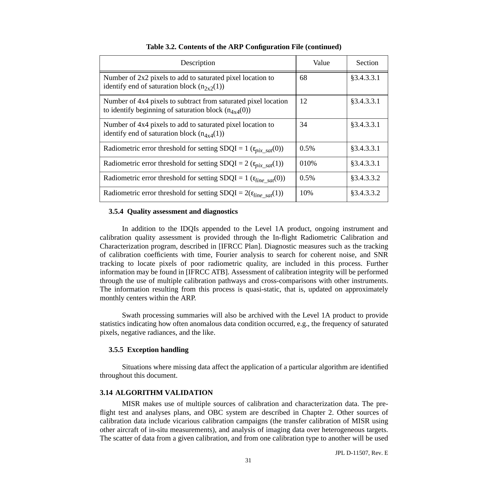<span id="page-36-0"></span>

| Description                                                                                                                | Value   | Section     |
|----------------------------------------------------------------------------------------------------------------------------|---------|-------------|
| Number of 2x2 pixels to add to saturated pixel location to<br>identify end of saturation block $(n_{2x2}(1))$              | 68      | §3.4.3.3.1  |
| Number of 4x4 pixels to subtract from saturated pixel location<br>to identify beginning of saturation block $(n_{4x4}(0))$ | 12      | §3.4.3.3.1  |
| Number of 4x4 pixels to add to saturated pixel location to<br>identify end of saturation block $(n_{4x4}(1))$              | 34      | §3.4.3.3.1  |
| Radiometric error threshold for setting SDQI = 1 ( $\varepsilon_{pix \, sat}(0)$ )                                         | 0.5%    | §3.4.3.3.1  |
| Radiometric error threshold for setting SDQI = 2 ( $\varepsilon_{pix}$ sat(1))                                             | 010%    | §3.4.3.3.1  |
| Radiometric error threshold for setting SDQI = 1 ( $\varepsilon_{line$ <sub>sat</sub> (0))                                 | $0.5\%$ | \$3.4.3.3.2 |
| Radiometric error threshold for setting SDQI = $2(\epsilon_{line sat}(1))$                                                 | 10%     | \$3.4.3.3.2 |

**Table 3.2. Contents of the ARP Configuration File (continued)**

# **3.5.4 Quality assessment and diagnostics**

In addition to the IDQIs appended to the Level 1A product, ongoing instrument and calibration quality assessment is provided through the In-flight Radiometric Calibration and Characterization program, described in [IFRCC Plan]. Diagnostic measures such as the tracking of calibration coefficients with time, Fourier analysis to search for coherent noise, and SNR tracking to locate pixels of poor radiometric quality, are included in this process. Further information may be found in [IFRCC ATB]. Assessment of calibration integrity will be performed through the use of multiple calibration pathways and cross-comparisons with other instruments. The information resulting from this process is quasi-static, that is, updated on approximately monthly centers within the ARP.

Swath processing summaries will also be archived with the Level 1A product to provide statistics indicating how often anomalous data condition occurred, e.g., the frequency of saturated pixels, negative radiances, and the like.

# **3.5.5 Exception handling**

Situations where missing data affect the application of a particular algorithm are identified throughout this document.

# **3.14 ALGORITHM VALIDATION**

MISR makes use of multiple sources of calibration and characterization data. The preflight test and analyses plans, and OBC system are described in Chapter 2. Other sources of calibration data include vicarious calibration campaigns (the transfer calibration of MISR using other aircraft of in-situ measurements), and analysis of imaging data over heterogeneous targets. The scatter of data from a given calibration, and from one calibration type to another will be used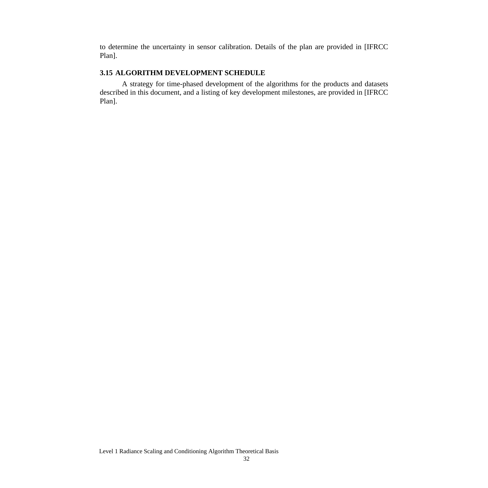<span id="page-37-0"></span>to determine the uncertainty in sensor calibration. Details of the plan are provided in [IFRCC Plan].

# **3.15 ALGORITHM DEVELOPMENT SCHEDULE**

A strategy for time-phased development of the algorithms for the products and datasets described in this document, and a listing of key development milestones, are provided in [IFRCC Plan].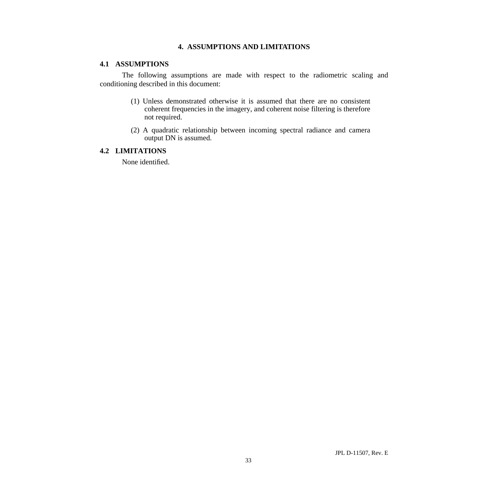# **4. ASSUMPTIONS AND LIMITATIONS**

# <span id="page-38-0"></span>**4.1 ASSUMPTIONS**

The following assumptions are made with respect to the radiometric scaling and conditioning described in this document:

- (1) Unless demonstrated otherwise it is assumed that there are no consistent coherent frequencies in the imagery, and coherent noise filtering is therefore not required.
- (2) A quadratic relationship between incoming spectral radiance and camera output DN is assumed.

# **4.2 LIMITATIONS**

None identified.